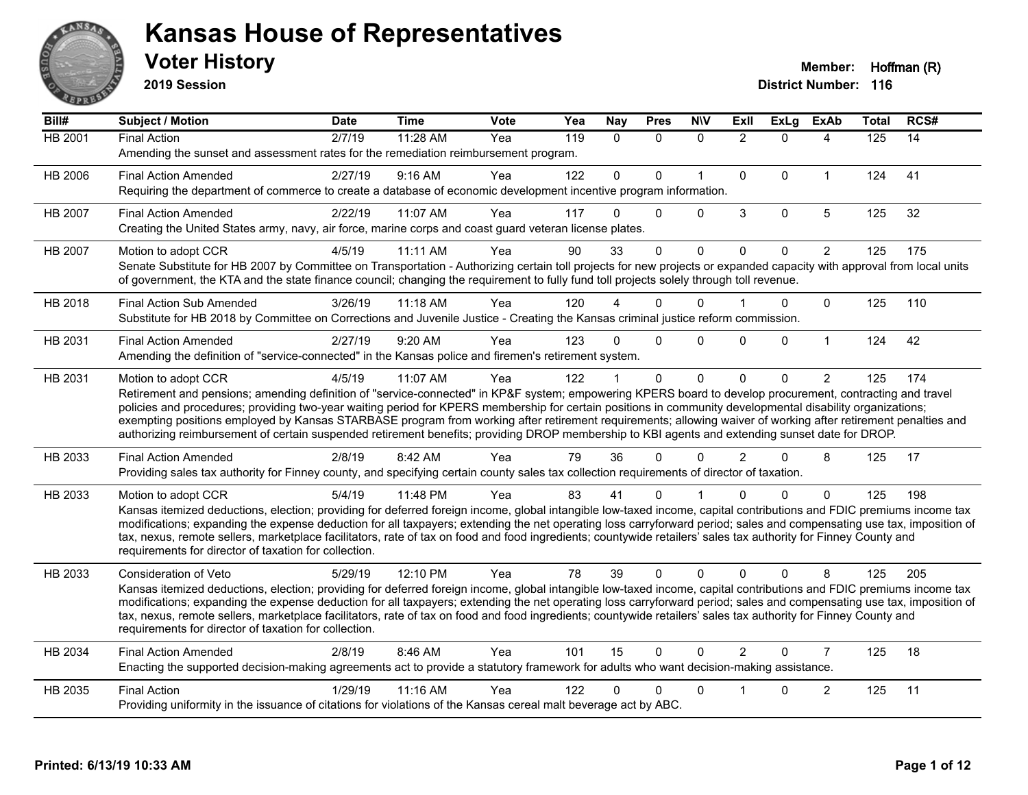

**2019 Session**

| Bill#          | Subject / Motion                                                                                                                                                                                                                                                                                                                                                                                                                                                                                                                                                                                                                                                   | <b>Date</b> | <b>Time</b> | <b>Vote</b> | Yea | <b>Nay</b>   | <b>Pres</b>  | <b>NIV</b>   | ExIl           | <b>ExLg</b>  | <b>ExAb</b>    | <b>Total</b>     | RCS# |
|----------------|--------------------------------------------------------------------------------------------------------------------------------------------------------------------------------------------------------------------------------------------------------------------------------------------------------------------------------------------------------------------------------------------------------------------------------------------------------------------------------------------------------------------------------------------------------------------------------------------------------------------------------------------------------------------|-------------|-------------|-------------|-----|--------------|--------------|--------------|----------------|--------------|----------------|------------------|------|
| <b>HB 2001</b> | <b>Final Action</b><br>Amending the sunset and assessment rates for the remediation reimbursement program.                                                                                                                                                                                                                                                                                                                                                                                                                                                                                                                                                         | 2/7/19      | 11:28 AM    | Yea         | 119 | $\mathbf{0}$ | $\mathbf{0}$ | $\mathbf{0}$ | $\overline{2}$ | $\Omega$     | 4              | $\overline{125}$ | 14   |
| HB 2006        | <b>Final Action Amended</b><br>Requiring the department of commerce to create a database of economic development incentive program information.                                                                                                                                                                                                                                                                                                                                                                                                                                                                                                                    | 2/27/19     | 9:16 AM     | Yea         | 122 | $\mathbf{0}$ | $\Omega$     | $\mathbf{1}$ | $\mathbf 0$    | $\Omega$     | $\mathbf{1}$   | 124              | 41   |
| <b>HB 2007</b> | <b>Final Action Amended</b><br>Creating the United States army, navy, air force, marine corps and coast guard veteran license plates.                                                                                                                                                                                                                                                                                                                                                                                                                                                                                                                              | 2/22/19     | 11:07 AM    | Yea         | 117 | $\Omega$     | $\Omega$     | $\Omega$     | 3              | $\mathbf{0}$ | 5              | 125              | 32   |
| HB 2007        | Motion to adopt CCR<br>Senate Substitute for HB 2007 by Committee on Transportation - Authorizing certain toll projects for new projects or expanded capacity with approval from local units<br>of government, the KTA and the state finance council; changing the requirement to fully fund toll projects solely through toll revenue.                                                                                                                                                                                                                                                                                                                            | 4/5/19      | 11:11 AM    | Yea         | 90  | 33           | $\Omega$     | $\Omega$     | $\Omega$       | $\Omega$     | $\overline{2}$ | 125              | 175  |
| HB 2018        | <b>Final Action Sub Amended</b><br>Substitute for HB 2018 by Committee on Corrections and Juvenile Justice - Creating the Kansas criminal justice reform commission.                                                                                                                                                                                                                                                                                                                                                                                                                                                                                               | 3/26/19     | 11:18 AM    | Yea         | 120 |              | $\Omega$     | $\mathbf{0}$ |                | $\Omega$     | $\mathbf 0$    | 125              | 110  |
| HB 2031        | <b>Final Action Amended</b><br>Amending the definition of "service-connected" in the Kansas police and firemen's retirement system.                                                                                                                                                                                                                                                                                                                                                                                                                                                                                                                                | 2/27/19     | 9:20 AM     | Yea         | 123 | 0            | $\Omega$     | $\Omega$     | 0              | $\Omega$     | $\mathbf{1}$   | 124              | 42   |
| HB 2031        | Motion to adopt CCR<br>Retirement and pensions; amending definition of "service-connected" in KP&F system; empowering KPERS board to develop procurement, contracting and travel<br>policies and procedures; providing two-year waiting period for KPERS membership for certain positions in community developmental disability organizations;<br>exempting positions employed by Kansas STARBASE program from working after retirement requirements; allowing waiver of working after retirement penalties and<br>authorizing reimbursement of certain suspended retirement benefits; providing DROP membership to KBI agents and extending sunset date for DROP. | 4/5/19      | 11:07 AM    | Yea         | 122 |              | $\mathbf 0$  | $\mathbf 0$  | $\mathbf{0}$   | $\Omega$     | $\overline{2}$ | 125              | 174  |
| HB 2033        | <b>Final Action Amended</b><br>Providing sales tax authority for Finney county, and specifying certain county sales tax collection requirements of director of taxation.                                                                                                                                                                                                                                                                                                                                                                                                                                                                                           | 2/8/19      | 8:42 AM     | Yea         | 79  | 36           | $\Omega$     | $\Omega$     | $\mathcal{P}$  | $\Omega$     | 8              | 125              | 17   |
| HB 2033        | Motion to adopt CCR<br>Kansas itemized deductions, election; providing for deferred foreign income, global intangible low-taxed income, capital contributions and FDIC premiums income tax<br>modifications; expanding the expense deduction for all taxpayers; extending the net operating loss carryforward period; sales and compensating use tax, imposition of<br>tax, nexus, remote sellers, marketplace facilitators, rate of tax on food and food ingredients; countywide retailers' sales tax authority for Finney County and<br>requirements for director of taxation for collection.                                                                    | 5/4/19      | 11:48 PM    | Yea         | 83  | 41           | 0            |              |                | 0            | 0              | 125              | 198  |
| HB 2033        | Consideration of Veto<br>Kansas itemized deductions, election; providing for deferred foreign income, global intangible low-taxed income, capital contributions and FDIC premiums income tax<br>modifications; expanding the expense deduction for all taxpayers; extending the net operating loss carryforward period; sales and compensating use tax, imposition of<br>tax, nexus, remote sellers, marketplace facilitators, rate of tax on food and food ingredients; countywide retailers' sales tax authority for Finney County and<br>requirements for director of taxation for collection.                                                                  | 5/29/19     | 12:10 PM    | Yea         | 78  | 39           | $\Omega$     | $\Omega$     | $\Omega$       | $\Omega$     | 8              | 125              | 205  |
| HB 2034        | <b>Final Action Amended</b><br>Enacting the supported decision-making agreements act to provide a statutory framework for adults who want decision-making assistance.                                                                                                                                                                                                                                                                                                                                                                                                                                                                                              | 2/8/19      | 8:46 AM     | Yea         | 101 | 15           | $\Omega$     | $\Omega$     | $\mathcal{P}$  | $\Omega$     | $\overline{7}$ | 125              | 18   |
| HB 2035        | <b>Final Action</b><br>Providing uniformity in the issuance of citations for violations of the Kansas cereal malt beverage act by ABC.                                                                                                                                                                                                                                                                                                                                                                                                                                                                                                                             | 1/29/19     | 11:16 AM    | Yea         | 122 | 0            | $\Omega$     | $\mathbf 0$  |                | 0            | $\overline{c}$ | 125              | 11   |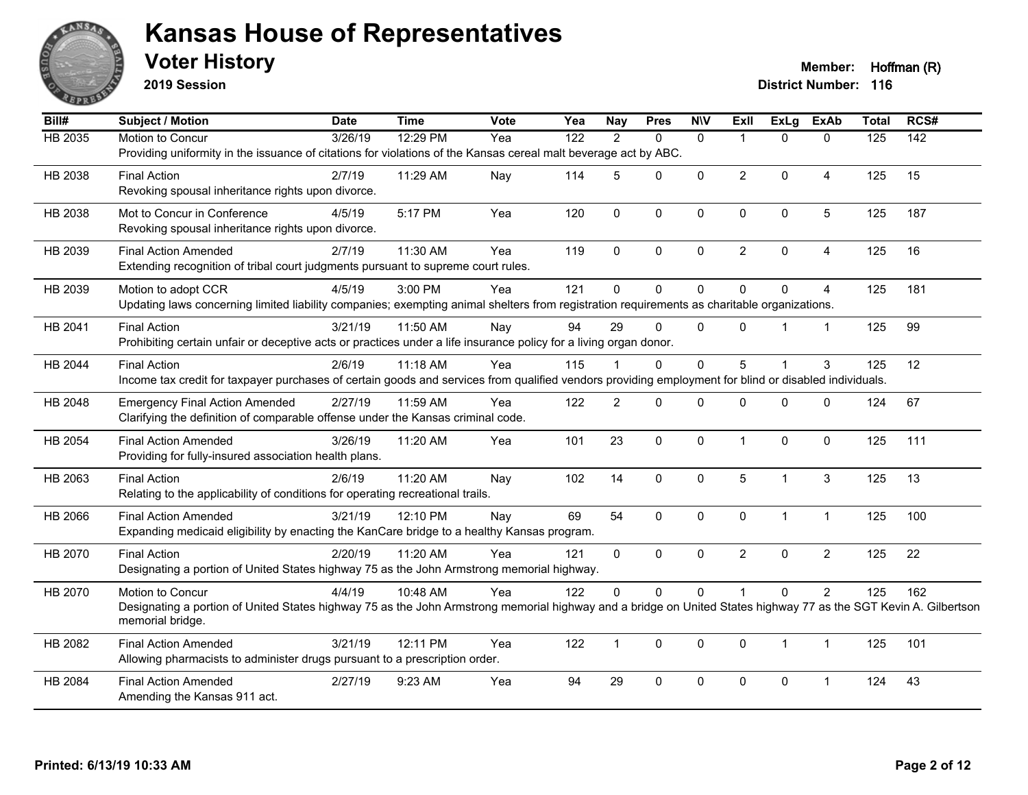

**2019 Session**

**Voter History Member: Hoffman (R)** 

| Bill#   | Subject / Motion                                                                                                                                                 | <b>Date</b> | <b>Time</b> | Vote | Yea              | <b>Nay</b>     | <b>Pres</b> | <b>NIV</b>   | Exll           | <b>ExLg</b>  | <b>ExAb</b>    | <b>Total</b> | RCS# |
|---------|------------------------------------------------------------------------------------------------------------------------------------------------------------------|-------------|-------------|------|------------------|----------------|-------------|--------------|----------------|--------------|----------------|--------------|------|
| HB 2035 | Motion to Concur                                                                                                                                                 | 3/26/19     | 12:29 PM    | Yea  | $\overline{122}$ | $\overline{2}$ | $\Omega$    | $\mathbf{0}$ | -1             | $\Omega$     | $\mathbf{0}$   | 125          | 142  |
|         | Providing uniformity in the issuance of citations for violations of the Kansas cereal malt beverage act by ABC.                                                  |             |             |      |                  |                |             |              |                |              |                |              |      |
| HB 2038 | <b>Final Action</b>                                                                                                                                              | 2/7/19      | 11:29 AM    | Nay  | 114              | 5              | $\Omega$    | $\mathbf 0$  | $\overline{2}$ | $\Omega$     | $\overline{4}$ | 125          | 15   |
|         | Revoking spousal inheritance rights upon divorce.                                                                                                                |             |             |      |                  |                |             |              |                |              |                |              |      |
| HB 2038 | Mot to Concur in Conference                                                                                                                                      | 4/5/19      | 5:17 PM     | Yea  | 120              | $\mathbf 0$    | 0           | $\mathbf 0$  | 0              | 0            | $\sqrt{5}$     | 125          | 187  |
|         | Revoking spousal inheritance rights upon divorce.                                                                                                                |             |             |      |                  |                |             |              |                |              |                |              |      |
|         |                                                                                                                                                                  |             |             |      |                  |                |             |              |                |              |                |              |      |
| HB 2039 | <b>Final Action Amended</b><br>Extending recognition of tribal court judgments pursuant to supreme court rules.                                                  | 2/7/19      | 11:30 AM    | Yea  | 119              | $\Omega$       | $\Omega$    | $\mathbf{0}$ | $\overline{2}$ | $\mathbf 0$  | $\overline{A}$ | 125          | 16   |
|         |                                                                                                                                                                  |             |             |      |                  |                |             |              |                |              |                |              |      |
| HB 2039 | Motion to adopt CCR                                                                                                                                              | 4/5/19      | 3:00 PM     | Yea  | 121              | $\mathbf 0$    | 0           | $\pmb{0}$    | $\mathbf 0$    | $\Omega$     | $\overline{4}$ | 125          | 181  |
|         | Updating laws concerning limited liability companies; exempting animal shelters from registration requirements as charitable organizations.                      |             |             |      |                  |                |             |              |                |              |                |              |      |
| HB 2041 | <b>Final Action</b>                                                                                                                                              | 3/21/19     | 11:50 AM    | Nay  | 94               | 29             | $\Omega$    | $\Omega$     | $\Omega$       |              | $\mathbf{1}$   | 125          | 99   |
|         | Prohibiting certain unfair or deceptive acts or practices under a life insurance policy for a living organ donor.                                                |             |             |      |                  |                |             |              |                |              |                |              |      |
| HB 2044 | <b>Final Action</b>                                                                                                                                              | 2/6/19      | 11:18 AM    | Yea  | 115              |                | 0           | 0            | 5              |              | 3              | 125          | 12   |
|         | Income tax credit for taxpayer purchases of certain goods and services from qualified vendors providing employment for blind or disabled individuals.            |             |             |      |                  |                |             |              |                |              |                |              |      |
| HB 2048 | <b>Emergency Final Action Amended</b>                                                                                                                            | 2/27/19     | 11:59 AM    | Yea  | 122              | $\overline{2}$ | $\Omega$    | $\Omega$     | $\Omega$       | $\Omega$     | $\mathbf{0}$   | 124          | 67   |
|         | Clarifying the definition of comparable offense under the Kansas criminal code.                                                                                  |             |             |      |                  |                |             |              |                |              |                |              |      |
|         |                                                                                                                                                                  |             |             |      |                  |                |             |              |                |              |                |              |      |
| HB 2054 | <b>Final Action Amended</b><br>Providing for fully-insured association health plans.                                                                             | 3/26/19     | 11:20 AM    | Yea  | 101              | 23             | 0           | $\pmb{0}$    | $\mathbf 1$    | $\mathbf 0$  | $\pmb{0}$      | 125          | 111  |
|         |                                                                                                                                                                  |             |             |      |                  |                |             |              |                |              |                |              |      |
| HB 2063 | <b>Final Action</b>                                                                                                                                              | 2/6/19      | 11:20 AM    | Nay  | 102              | 14             | 0           | $\mathbf 0$  | 5              | 1            | $\mathbf{3}$   | 125          | 13   |
|         | Relating to the applicability of conditions for operating recreational trails.                                                                                   |             |             |      |                  |                |             |              |                |              |                |              |      |
| HB 2066 | <b>Final Action Amended</b>                                                                                                                                      | 3/21/19     | 12:10 PM    | Nay  | 69               | 54             | $\Omega$    | $\mathbf{0}$ | $\mathbf{0}$   | $\mathbf{1}$ | $\mathbf{1}$   | 125          | 100  |
|         | Expanding medicaid eligibility by enacting the KanCare bridge to a healthy Kansas program.                                                                       |             |             |      |                  |                |             |              |                |              |                |              |      |
| HB 2070 | <b>Final Action</b>                                                                                                                                              | 2/20/19     | 11:20 AM    | Yea  | 121              | $\mathbf{0}$   | $\Omega$    | $\mathbf{0}$ | $\overline{2}$ | $\Omega$     | $\overline{2}$ | 125          | 22   |
|         | Designating a portion of United States highway 75 as the John Armstrong memorial highway.                                                                        |             |             |      |                  |                |             |              |                |              |                |              |      |
| HB 2070 | Motion to Concur                                                                                                                                                 | 4/4/19      | 10:48 AM    | Yea  | 122              | $\mathbf{0}$   | 0           | 0            |                | $\Omega$     | $\overline{2}$ | 125          | 162  |
|         | Designating a portion of United States highway 75 as the John Armstrong memorial highway and a bridge on United States highway 77 as the SGT Kevin A. Gilbertson |             |             |      |                  |                |             |              |                |              |                |              |      |
|         | memorial bridge.                                                                                                                                                 |             |             |      |                  |                |             |              |                |              |                |              |      |
| HB 2082 | <b>Final Action Amended</b>                                                                                                                                      | 3/21/19     | 12:11 PM    | Yea  | 122              | $\mathbf{1}$   | 0           | $\mathbf 0$  | $\Omega$       | 1            | $\mathbf{1}$   | 125          | 101  |
|         | Allowing pharmacists to administer drugs pursuant to a prescription order.                                                                                       |             |             |      |                  |                |             |              |                |              |                |              |      |
|         |                                                                                                                                                                  |             |             |      |                  |                |             |              |                |              |                |              |      |
| HB 2084 | <b>Final Action Amended</b><br>Amending the Kansas 911 act.                                                                                                      | 2/27/19     | 9:23 AM     | Yea  | 94               | 29             | 0           | 0            | 0              | 0            | $\overline{1}$ | 124          | 43   |
|         |                                                                                                                                                                  |             |             |      |                  |                |             |              |                |              |                |              |      |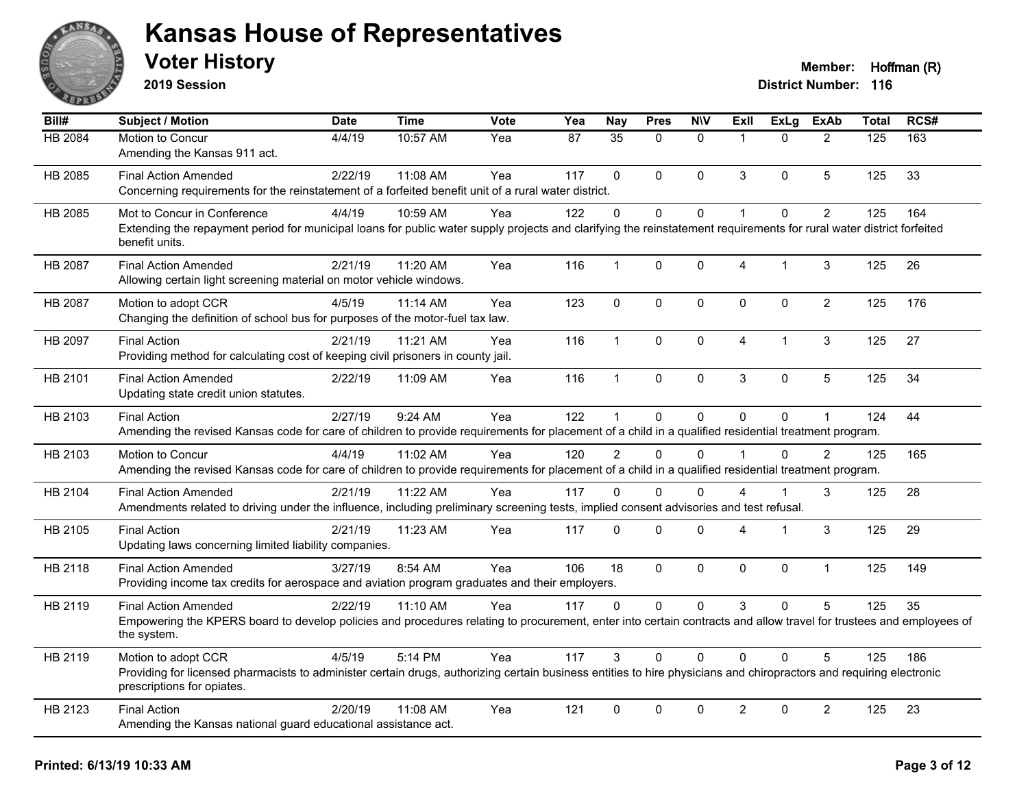

**2019 Session**

| Bill#          | <b>Subject / Motion</b>                                                                                                                                                                                                  | <b>Date</b> | <b>Time</b> | Vote | Yea | Nay           | <b>Pres</b>  | <b>N\V</b>   | Exll           | <b>ExLg</b>  | <b>ExAb</b>    | <b>Total</b> | RCS# |
|----------------|--------------------------------------------------------------------------------------------------------------------------------------------------------------------------------------------------------------------------|-------------|-------------|------|-----|---------------|--------------|--------------|----------------|--------------|----------------|--------------|------|
| <b>HB 2084</b> | Motion to Concur<br>Amending the Kansas 911 act.                                                                                                                                                                         | 4/4/19      | 10:57 AM    | Yea  | 87  | 35            | $\Omega$     | $\mathbf{0}$ | $\overline{1}$ | $\Omega$     | $\overline{2}$ | 125          | 163  |
| HB 2085        | <b>Final Action Amended</b><br>Concerning requirements for the reinstatement of a forfeited benefit unit of a rural water district.                                                                                      | 2/22/19     | 11:08 AM    | Yea  | 117 | $\Omega$      | $\Omega$     | $\Omega$     | 3              | $\mathbf{0}$ | 5              | 125          | 33   |
| HB 2085        | Mot to Concur in Conference<br>Extending the repayment period for municipal loans for public water supply projects and clarifying the reinstatement requirements for rural water district forfeited<br>benefit units.    | 4/4/19      | 10:59 AM    | Yea  | 122 | $\Omega$      | $\Omega$     | $\mathbf 0$  | $\overline{1}$ | $\mathbf{0}$ | $\overline{2}$ | 125          | 164  |
| HB 2087        | <b>Final Action Amended</b><br>Allowing certain light screening material on motor vehicle windows.                                                                                                                       | 2/21/19     | 11:20 AM    | Yea  | 116 | $\mathbf{1}$  | $\mathbf{0}$ | 0            | $\overline{4}$ | $\mathbf{1}$ | 3              | 125          | 26   |
| HB 2087        | Motion to adopt CCR<br>Changing the definition of school bus for purposes of the motor-fuel tax law.                                                                                                                     | 4/5/19      | $11:14$ AM  | Yea  | 123 | $\mathbf 0$   | 0            | $\mathbf 0$  | $\mathbf 0$    | 0            | $\overline{2}$ | 125          | 176  |
| HB 2097        | <b>Final Action</b><br>Providing method for calculating cost of keeping civil prisoners in county jail.                                                                                                                  | 2/21/19     | 11:21 AM    | Yea  | 116 | $\mathbf{1}$  | $\Omega$     | $\Omega$     | $\overline{4}$ | 1            | 3              | 125          | 27   |
| HB 2101        | <b>Final Action Amended</b><br>Updating state credit union statutes.                                                                                                                                                     | 2/22/19     | 11:09 AM    | Yea  | 116 | $\mathbf{1}$  | 0            | 0            | 3              | $\Omega$     | 5              | 125          | 34   |
| HB 2103        | <b>Final Action</b><br>Amending the revised Kansas code for care of children to provide requirements for placement of a child in a qualified residential treatment program.                                              | 2/27/19     | 9:24 AM     | Yea  | 122 | $\mathbf{1}$  | $\mathbf 0$  | 0            | $\Omega$       | 0            |                | 124          | 44   |
| HB 2103        | Motion to Concur<br>Amending the revised Kansas code for care of children to provide requirements for placement of a child in a qualified residential treatment program.                                                 | 4/4/19      | 11:02 AM    | Yea  | 120 | $\mathcal{P}$ | $\Omega$     | $\Omega$     |                | $\Omega$     | $\mathcal{P}$  | 125          | 165  |
| HB 2104        | <b>Final Action Amended</b><br>Amendments related to driving under the influence, including preliminary screening tests, implied consent advisories and test refusal.                                                    | 2/21/19     | 11:22 AM    | Yea  | 117 | $\Omega$      | 0            | $\Omega$     | $\Delta$       | 1            | 3              | 125          | 28   |
| HB 2105        | <b>Final Action</b><br>Updating laws concerning limited liability companies.                                                                                                                                             | 2/21/19     | 11:23 AM    | Yea  | 117 | $\Omega$      | $\mathbf 0$  | 0            | 4              | 1            | 3              | 125          | 29   |
| HB 2118        | <b>Final Action Amended</b><br>Providing income tax credits for aerospace and aviation program graduates and their employers.                                                                                            | 3/27/19     | 8:54 AM     | Yea  | 106 | 18            | 0            | 0            | $\mathbf{0}$   | 0            | $\mathbf{1}$   | 125          | 149  |
| HB 2119        | <b>Final Action Amended</b><br>Empowering the KPERS board to develop policies and procedures relating to procurement, enter into certain contracts and allow travel for trustees and employees of<br>the system.         | 2/22/19     | 11:10 AM    | Yea  | 117 | $\Omega$      | 0            | 0            | 3              | $\mathbf{0}$ | 5              | 125          | 35   |
| HB 2119        | Motion to adopt CCR<br>Providing for licensed pharmacists to administer certain drugs, authorizing certain business entities to hire physicians and chiropractors and requiring electronic<br>prescriptions for opiates. | 4/5/19      | 5:14 PM     | Yea  | 117 | 3             | 0            | $\Omega$     | $\Omega$       | $\Omega$     | 5              | 125          | 186  |
| HB 2123        | <b>Final Action</b><br>Amending the Kansas national guard educational assistance act.                                                                                                                                    | 2/20/19     | 11:08 AM    | Yea  | 121 | $\mathbf{0}$  | $\Omega$     | $\Omega$     | $\overline{2}$ | $\Omega$     | $\overline{2}$ | 125          | 23   |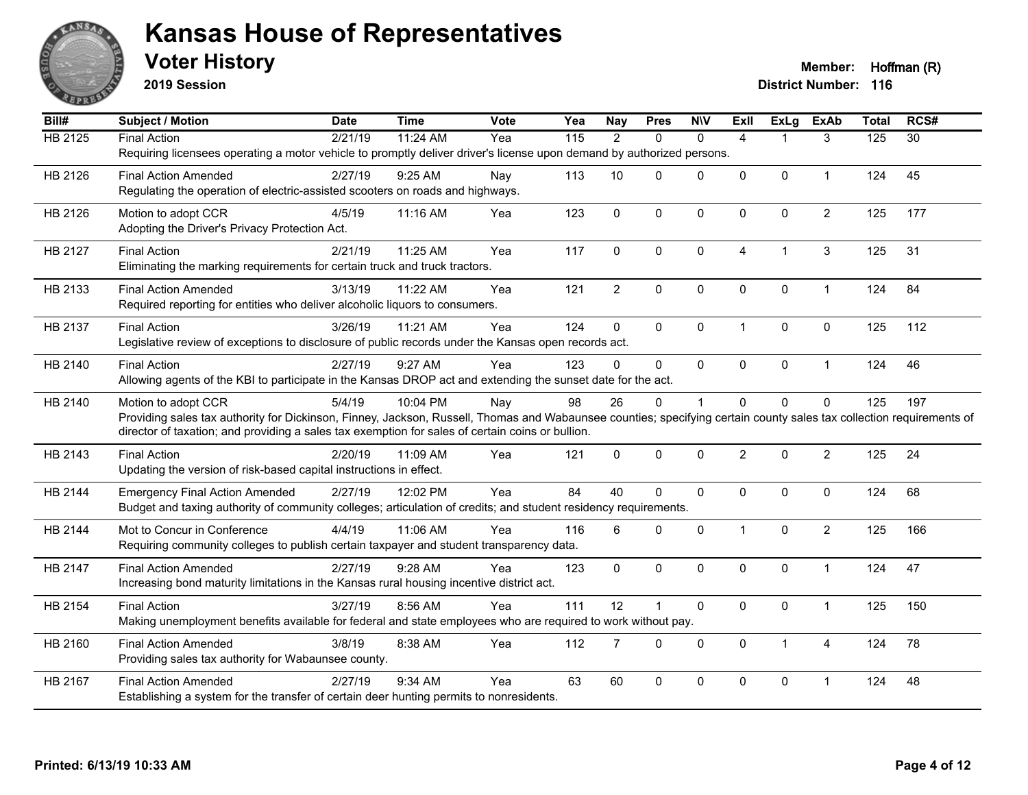

**2019 Session**

| Bill#          | <b>Subject / Motion</b>                                                                                                                                              | <b>Date</b> | <b>Time</b> | Vote | Yea | <b>Nay</b>     | <b>Pres</b>  | <b>NIV</b>   | <b>Exll</b>    | <b>ExLg</b>    | <b>ExAb</b>    | <b>Total</b> | RCS#            |
|----------------|----------------------------------------------------------------------------------------------------------------------------------------------------------------------|-------------|-------------|------|-----|----------------|--------------|--------------|----------------|----------------|----------------|--------------|-----------------|
| <b>HB 2125</b> | <b>Final Action</b>                                                                                                                                                  | 2/21/19     | 11:24 AM    | Yea  | 115 | $\overline{2}$ | $\mathbf{0}$ | $\mathbf{0}$ | $\overline{4}$ |                | 3              | 125          | $\overline{30}$ |
|                | Requiring licensees operating a motor vehicle to promptly deliver driver's license upon demand by authorized persons.                                                |             |             |      |     |                |              |              |                |                |                |              |                 |
| HB 2126        | <b>Final Action Amended</b>                                                                                                                                          | 2/27/19     | 9:25 AM     | Nay  | 113 | 10             | $\mathbf{0}$ | $\Omega$     | $\Omega$       | $\mathbf{0}$   | $\mathbf{1}$   | 124          | 45              |
|                | Regulating the operation of electric-assisted scooters on roads and highways.                                                                                        |             |             |      |     |                |              |              |                |                |                |              |                 |
| HB 2126        | Motion to adopt CCR                                                                                                                                                  | 4/5/19      | 11:16 AM    | Yea  | 123 | $\mathbf 0$    | $\mathbf 0$  | 0            | $\mathbf{0}$   | $\mathbf 0$    | $\overline{2}$ | 125          | 177             |
|                | Adopting the Driver's Privacy Protection Act.                                                                                                                        |             |             |      |     |                |              |              |                |                |                |              |                 |
| HB 2127        | <b>Final Action</b>                                                                                                                                                  | 2/21/19     | 11:25 AM    | Yea  | 117 | 0              | $\mathbf 0$  | $\mathbf 0$  | 4              | $\overline{1}$ | 3              | 125          | 31              |
|                | Eliminating the marking requirements for certain truck and truck tractors.                                                                                           |             |             |      |     |                |              |              |                |                |                |              |                 |
| HB 2133        | <b>Final Action Amended</b>                                                                                                                                          | 3/13/19     | 11:22 AM    | Yea  | 121 | $\overline{2}$ | $\mathbf 0$  | $\mathbf 0$  | $\mathbf{0}$   | $\mathbf 0$    | $\mathbf{1}$   | 124          | 84              |
|                | Required reporting for entities who deliver alcoholic liquors to consumers.                                                                                          |             |             |      |     |                |              |              |                |                |                |              |                 |
| HB 2137        | <b>Final Action</b>                                                                                                                                                  | 3/26/19     | 11:21 AM    | Yea  | 124 | 0              | $\mathbf 0$  | $\pmb{0}$    | 1              | $\pmb{0}$      | $\pmb{0}$      | 125          | 112             |
|                | Legislative review of exceptions to disclosure of public records under the Kansas open records act.                                                                  |             |             |      |     |                |              |              |                |                |                |              |                 |
| HB 2140        | <b>Final Action</b>                                                                                                                                                  | 2/27/19     | 9:27 AM     | Yea  | 123 | $\Omega$       | $\Omega$     | $\mathbf{0}$ | $\Omega$       | $\mathbf 0$    | $\mathbf{1}$   | 124          | 46              |
|                | Allowing agents of the KBI to participate in the Kansas DROP act and extending the sunset date for the act.                                                          |             |             |      |     |                |              |              |                |                |                |              |                 |
| HB 2140        | Motion to adopt CCR                                                                                                                                                  | 5/4/19      | 10:04 PM    | Nay  | 98  | 26             | $\pmb{0}$    | $\mathbf{1}$ | $\Omega$       | $\pmb{0}$      | $\mathbf 0$    | 125          | 197             |
|                | Providing sales tax authority for Dickinson, Finney, Jackson, Russell, Thomas and Wabaunsee counties; specifying certain county sales tax collection requirements of |             |             |      |     |                |              |              |                |                |                |              |                 |
|                | director of taxation; and providing a sales tax exemption for sales of certain coins or bullion.                                                                     |             |             |      |     |                |              |              |                |                |                |              |                 |
| HB 2143        | <b>Final Action</b>                                                                                                                                                  | 2/20/19     | 11:09 AM    | Yea  | 121 | $\Omega$       | $\mathbf{0}$ | 0            | $\overline{2}$ | $\Omega$       | $\overline{2}$ | 125          | 24              |
|                | Updating the version of risk-based capital instructions in effect.                                                                                                   |             |             |      |     |                |              |              |                |                |                |              |                 |
| HB 2144        | <b>Emergency Final Action Amended</b>                                                                                                                                | 2/27/19     | 12:02 PM    | Yea  | 84  | 40             | $\mathbf 0$  | $\mathbf 0$  | 0              | $\mathbf 0$    | $\mathbf 0$    | 124          | 68              |
|                | Budget and taxing authority of community colleges; articulation of credits; and student residency requirements.                                                      |             |             |      |     |                |              |              |                |                |                |              |                 |
| HB 2144        | Mot to Concur in Conference                                                                                                                                          | 4/4/19      | 11:06 AM    | Yea  | 116 | 6              | $\mathbf{0}$ | $\Omega$     | $\mathbf 1$    | $\mathbf{0}$   | $\overline{2}$ | 125          | 166             |
|                | Requiring community colleges to publish certain taxpayer and student transparency data.                                                                              |             |             |      |     |                |              |              |                |                |                |              |                 |
| HB 2147        | <b>Final Action Amended</b>                                                                                                                                          | 2/27/19     | $9:28$ AM   | Yea  | 123 | $\Omega$       | $\mathbf{0}$ | $\mathbf 0$  | $\Omega$       | $\mathbf 0$    | $\mathbf{1}$   | 124          | 47              |
|                | Increasing bond maturity limitations in the Kansas rural housing incentive district act.                                                                             |             |             |      |     |                |              |              |                |                |                |              |                 |
| HB 2154        | <b>Final Action</b>                                                                                                                                                  | 3/27/19     | 8:56 AM     | Yea  | 111 | 12             | 1            | $\mathbf 0$  | $\mathbf{0}$   | $\pmb{0}$      | $\mathbf{1}$   | 125          | 150             |
|                | Making unemployment benefits available for federal and state employees who are required to work without pay.                                                         |             |             |      |     |                |              |              |                |                |                |              |                 |
| HB 2160        | <b>Final Action Amended</b>                                                                                                                                          | 3/8/19      | 8:38 AM     | Yea  | 112 | $\overline{7}$ | $\Omega$     | $\mathbf{0}$ | $\mathbf{0}$   | 1              | $\overline{A}$ | 124          | 78              |
|                | Providing sales tax authority for Wabaunsee county.                                                                                                                  |             |             |      |     |                |              |              |                |                |                |              |                 |
| HB 2167        | <b>Final Action Amended</b>                                                                                                                                          | 2/27/19     | 9:34 AM     | Yea  | 63  | 60             | $\pmb{0}$    | 0            | 0              | $\pmb{0}$      | $\overline{1}$ | 124          | 48              |
|                | Establishing a system for the transfer of certain deer hunting permits to nonresidents.                                                                              |             |             |      |     |                |              |              |                |                |                |              |                 |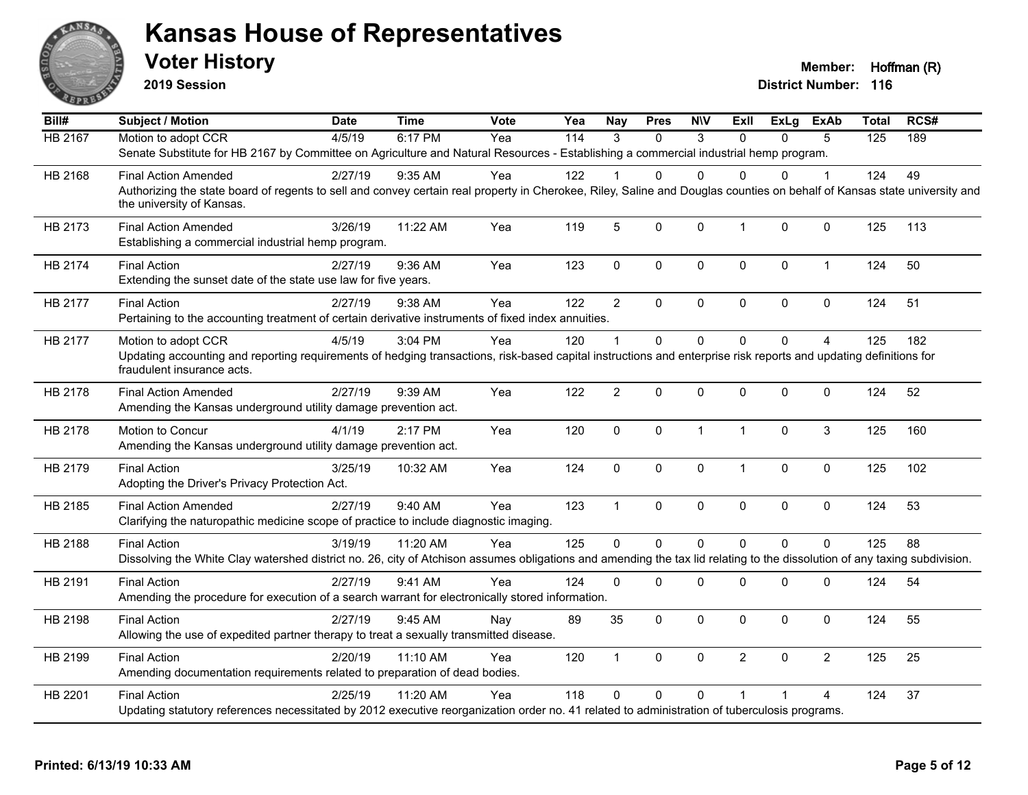

**2019 Session**

| Bill#          | <b>Subject / Motion</b>                                                                                                                                                   | <b>Date</b> | <b>Time</b> | Vote | Yea | <b>Nay</b>     | <b>Pres</b> | <b>NIV</b>   | ExII           | ExLg     | <b>ExAb</b>    | <b>Total</b> | RCS# |
|----------------|---------------------------------------------------------------------------------------------------------------------------------------------------------------------------|-------------|-------------|------|-----|----------------|-------------|--------------|----------------|----------|----------------|--------------|------|
| <b>HB 2167</b> | Motion to adopt CCR                                                                                                                                                       | 4/5/19      | 6:17 PM     | Yea  | 114 | $\mathcal{R}$  | $\Omega$    | 3            | $\Omega$       | $\Omega$ | 5              | 125          | 189  |
|                | Senate Substitute for HB 2167 by Committee on Agriculture and Natural Resources - Establishing a commercial industrial hemp program.                                      |             |             |      |     |                |             |              |                |          |                |              |      |
| HB 2168        | <b>Final Action Amended</b>                                                                                                                                               | 2/27/19     | $9:35$ AM   | Yea  | 122 |                | 0           | $\Omega$     | $\Omega$       | 0        | 1              | 124          | 49   |
|                | Authorizing the state board of regents to sell and convey certain real property in Cherokee, Riley, Saline and Douglas counties on behalf of Kansas state university and  |             |             |      |     |                |             |              |                |          |                |              |      |
|                | the university of Kansas.                                                                                                                                                 |             |             |      |     |                |             |              |                |          |                |              |      |
| HB 2173        | <b>Final Action Amended</b>                                                                                                                                               | 3/26/19     | 11:22 AM    | Yea  | 119 | 5              | 0           | $\mathbf{0}$ | $\mathbf{1}$   | $\Omega$ | $\mathbf 0$    | 125          | 113  |
|                | Establishing a commercial industrial hemp program.                                                                                                                        |             |             |      |     |                |             |              |                |          |                |              |      |
| HB 2174        | <b>Final Action</b>                                                                                                                                                       | 2/27/19     | 9:36 AM     | Yea  | 123 | $\mathbf 0$    | 0           | $\mathbf 0$  | $\mathbf 0$    | 0        | $\mathbf{1}$   | 124          | 50   |
|                | Extending the sunset date of the state use law for five years.                                                                                                            |             |             |      |     |                |             |              |                |          |                |              |      |
| HB 2177        | <b>Final Action</b>                                                                                                                                                       | 2/27/19     | 9:38 AM     | Yea  | 122 | $\overline{2}$ | $\Omega$    | $\pmb{0}$    | $\pmb{0}$      | 0        | $\mathbf 0$    | 124          | 51   |
|                | Pertaining to the accounting treatment of certain derivative instruments of fixed index annuities.                                                                        |             |             |      |     |                |             |              |                |          |                |              |      |
| HB 2177        | Motion to adopt CCR                                                                                                                                                       | 4/5/19      | 3:04 PM     | Yea  | 120 |                | 0           | $\Omega$     | $\Omega$       | $\Omega$ | $\overline{A}$ | 125          | 182  |
|                | Updating accounting and reporting requirements of hedging transactions, risk-based capital instructions and enterprise risk reports and updating definitions for          |             |             |      |     |                |             |              |                |          |                |              |      |
|                | fraudulent insurance acts.                                                                                                                                                |             |             |      |     |                |             |              |                |          |                |              |      |
| HB 2178        | <b>Final Action Amended</b>                                                                                                                                               | 2/27/19     | 9:39 AM     | Yea  | 122 | $\overline{2}$ | 0           | $\Omega$     | $\mathbf{0}$   | 0        | $\mathbf 0$    | 124          | 52   |
|                | Amending the Kansas underground utility damage prevention act.                                                                                                            |             |             |      |     |                |             |              |                |          |                |              |      |
| HB 2178        | Motion to Concur                                                                                                                                                          | 4/1/19      | 2:17 PM     | Yea  | 120 | $\Omega$       | 0           | $\mathbf{1}$ | $\mathbf{1}$   | $\Omega$ | 3              | 125          | 160  |
|                | Amending the Kansas underground utility damage prevention act.                                                                                                            |             |             |      |     |                |             |              |                |          |                |              |      |
| HB 2179        | <b>Final Action</b>                                                                                                                                                       | 3/25/19     | 10:32 AM    | Yea  | 124 | 0              | 0           | $\mathbf 0$  | $\mathbf{1}$   | 0        | $\mathbf 0$    | 125          | 102  |
|                | Adopting the Driver's Privacy Protection Act.                                                                                                                             |             |             |      |     |                |             |              |                |          |                |              |      |
| HB 2185        | <b>Final Action Amended</b>                                                                                                                                               | 2/27/19     | 9:40 AM     | Yea  | 123 | $\overline{1}$ | 0           | $\mathbf 0$  | $\mathbf 0$    | $\Omega$ | $\mathbf 0$    | 124          | 53   |
|                | Clarifying the naturopathic medicine scope of practice to include diagnostic imaging.                                                                                     |             |             |      |     |                |             |              |                |          |                |              |      |
| HB 2188        | <b>Final Action</b>                                                                                                                                                       | 3/19/19     | 11:20 AM    | Yea  | 125 | $\Omega$       | 0           | $\mathbf 0$  | $\Omega$       | $\Omega$ | $\mathbf 0$    | 125          | 88   |
|                | Dissolving the White Clay watershed district no. 26, city of Atchison assumes obligations and amending the tax lid relating to the dissolution of any taxing subdivision. |             |             |      |     |                |             |              |                |          |                |              |      |
| HB 2191        | <b>Final Action</b>                                                                                                                                                       | 2/27/19     | 9:41 AM     | Yea  | 124 | $\Omega$       | $\Omega$    | $\Omega$     | $\mathbf{0}$   | 0        | 0              | 124          | 54   |
|                | Amending the procedure for execution of a search warrant for electronically stored information.                                                                           |             |             |      |     |                |             |              |                |          |                |              |      |
| HB 2198        | <b>Final Action</b>                                                                                                                                                       | 2/27/19     | 9:45 AM     | Nay  | 89  | 35             | $\Omega$    | $\mathbf{0}$ | $\mathbf{0}$   | $\Omega$ | $\mathbf 0$    | 124          | 55   |
|                | Allowing the use of expedited partner therapy to treat a sexually transmitted disease.                                                                                    |             |             |      |     |                |             |              |                |          |                |              |      |
| HB 2199        | <b>Final Action</b>                                                                                                                                                       | 2/20/19     | $11:10$ AM  | Yea  | 120 | $\mathbf{1}$   | 0           | $\mathbf 0$  | $\overline{2}$ | $\Omega$ | $\overline{2}$ | 125          | 25   |
|                | Amending documentation requirements related to preparation of dead bodies.                                                                                                |             |             |      |     |                |             |              |                |          |                |              |      |
| HB 2201        | <b>Final Action</b>                                                                                                                                                       | 2/25/19     | 11:20 AM    | Yea  | 118 | $\Omega$       | $\Omega$    | $\Omega$     | $\overline{1}$ |          | 4              | 124          | 37   |
|                | Updating statutory references necessitated by 2012 executive reorganization order no. 41 related to administration of tuberculosis programs.                              |             |             |      |     |                |             |              |                |          |                |              |      |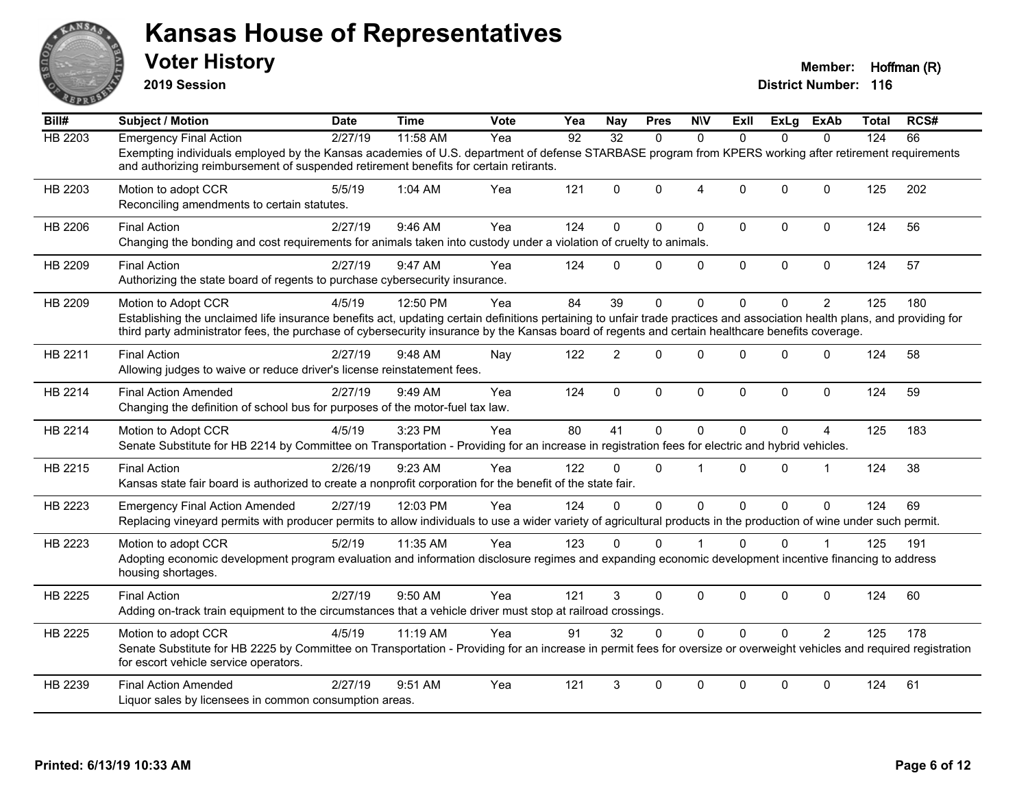

**2019 Session**

| Bill#          | <b>Subject / Motion</b>                                                                                                                                                                                                                                                                                                                              | <b>Date</b> | <b>Time</b> | Vote | Yea | <b>Nay</b>      | <b>Pres</b>  | <b>N\V</b>     | ExII         | ExLg     | ExAb           | <b>Total</b> | RCS# |
|----------------|------------------------------------------------------------------------------------------------------------------------------------------------------------------------------------------------------------------------------------------------------------------------------------------------------------------------------------------------------|-------------|-------------|------|-----|-----------------|--------------|----------------|--------------|----------|----------------|--------------|------|
| <b>HB 2203</b> | <b>Emergency Final Action</b>                                                                                                                                                                                                                                                                                                                        | 2/27/19     | 11:58 AM    | Yea  | 92  | $\overline{32}$ | $\Omega$     | $\Omega$       | $\Omega$     | $\Omega$ | $\Omega$       | 124          | 66   |
|                | Exempting individuals employed by the Kansas academies of U.S. department of defense STARBASE program from KPERS working after retirement requirements<br>and authorizing reimbursement of suspended retirement benefits for certain retirants.                                                                                                      |             |             |      |     |                 |              |                |              |          |                |              |      |
| HB 2203        | Motion to adopt CCR<br>Reconciling amendments to certain statutes.                                                                                                                                                                                                                                                                                   | 5/5/19      | 1:04 AM     | Yea  | 121 | $\Omega$        | $\Omega$     | $\overline{4}$ | $\Omega$     | $\Omega$ | $\mathbf{0}$   | 125          | 202  |
| HB 2206        | <b>Final Action</b><br>Changing the bonding and cost requirements for animals taken into custody under a violation of cruelty to animals.                                                                                                                                                                                                            | 2/27/19     | 9:46 AM     | Yea  | 124 | $\mathbf{0}$    | $\Omega$     | $\Omega$       | $\Omega$     | $\Omega$ | $\mathbf 0$    | 124          | 56   |
| HB 2209        | <b>Final Action</b><br>Authorizing the state board of regents to purchase cybersecurity insurance.                                                                                                                                                                                                                                                   | 2/27/19     | 9:47 AM     | Yea  | 124 | $\mathbf{0}$    | $\mathbf{0}$ | 0              | $\mathbf 0$  | 0        | $\mathbf 0$    | 124          | 57   |
| HB 2209        | Motion to Adopt CCR<br>Establishing the unclaimed life insurance benefits act, updating certain definitions pertaining to unfair trade practices and association health plans, and providing for<br>third party administrator fees, the purchase of cybersecurity insurance by the Kansas board of regents and certain healthcare benefits coverage. | 4/5/19      | 12:50 PM    | Yea  | 84  | 39              | $\Omega$     | $\Omega$       | $\Omega$     | 0        | $\overline{2}$ | 125          | 180  |
| HB 2211        | <b>Final Action</b><br>Allowing judges to waive or reduce driver's license reinstatement fees.                                                                                                                                                                                                                                                       | 2/27/19     | 9:48 AM     | Nay  | 122 | $\overline{2}$  | $\Omega$     | $\Omega$       | $\Omega$     | $\Omega$ | $\mathbf{0}$   | 124          | 58   |
| HB 2214        | <b>Final Action Amended</b><br>Changing the definition of school bus for purposes of the motor-fuel tax law.                                                                                                                                                                                                                                         | 2/27/19     | 9:49 AM     | Yea  | 124 | $\mathbf{0}$    | 0            | $\mathbf 0$    | $\mathbf{0}$ | $\Omega$ | $\mathbf{0}$   | 124          | 59   |
| HB 2214        | Motion to Adopt CCR<br>Senate Substitute for HB 2214 by Committee on Transportation - Providing for an increase in registration fees for electric and hybrid vehicles.                                                                                                                                                                               | 4/5/19      | 3:23 PM     | Yea  | 80  | 41              | 0            | $\Omega$       | $\Omega$     | 0        | 4              | 125          | 183  |
| HB 2215        | <b>Final Action</b><br>Kansas state fair board is authorized to create a nonprofit corporation for the benefit of the state fair.                                                                                                                                                                                                                    | 2/26/19     | 9:23 AM     | Yea  | 122 | 0               | $\Omega$     | 1              | $\Omega$     | $\Omega$ | $\mathbf{1}$   | 124          | 38   |
| HB 2223        | <b>Emergency Final Action Amended</b><br>Replacing vineyard permits with producer permits to allow individuals to use a wider variety of agricultural products in the production of wine under such permit.                                                                                                                                          | 2/27/19     | 12:03 PM    | Yea  | 124 | $\Omega$        | $\Omega$     | $\mathbf 0$    | $\Omega$     | $\Omega$ | $\mathbf{0}$   | 124          | 69   |
| HB 2223        | Motion to adopt CCR<br>Adopting economic development program evaluation and information disclosure regimes and expanding economic development incentive financing to address<br>housing shortages.                                                                                                                                                   | 5/2/19      | 11:35 AM    | Yea  | 123 | 0               | $\mathbf{0}$ |                | $\Omega$     | $\Omega$ |                | 125          | 191  |
| HB 2225        | <b>Final Action</b><br>Adding on-track train equipment to the circumstances that a vehicle driver must stop at railroad crossings.                                                                                                                                                                                                                   | 2/27/19     | 9:50 AM     | Yea  | 121 | 3               | 0            | 0              | $\mathbf{0}$ | $\Omega$ | $\mathbf{0}$   | 124          | 60   |
| HB 2225        | Motion to adopt CCR<br>Senate Substitute for HB 2225 by Committee on Transportation - Providing for an increase in permit fees for oversize or overweight vehicles and required registration<br>for escort vehicle service operators.                                                                                                                | 4/5/19      | 11:19 AM    | Yea  | 91  | 32              | $\Omega$     | $\Omega$       | $\Omega$     | $\Omega$ | $\overline{2}$ | 125          | 178  |
| HB 2239        | <b>Final Action Amended</b><br>Liquor sales by licensees in common consumption areas.                                                                                                                                                                                                                                                                | 2/27/19     | 9:51 AM     | Yea  | 121 | 3               | $\Omega$     | $\Omega$       | $\mathbf{0}$ | $\Omega$ | $\mathbf{0}$   | 124          | 61   |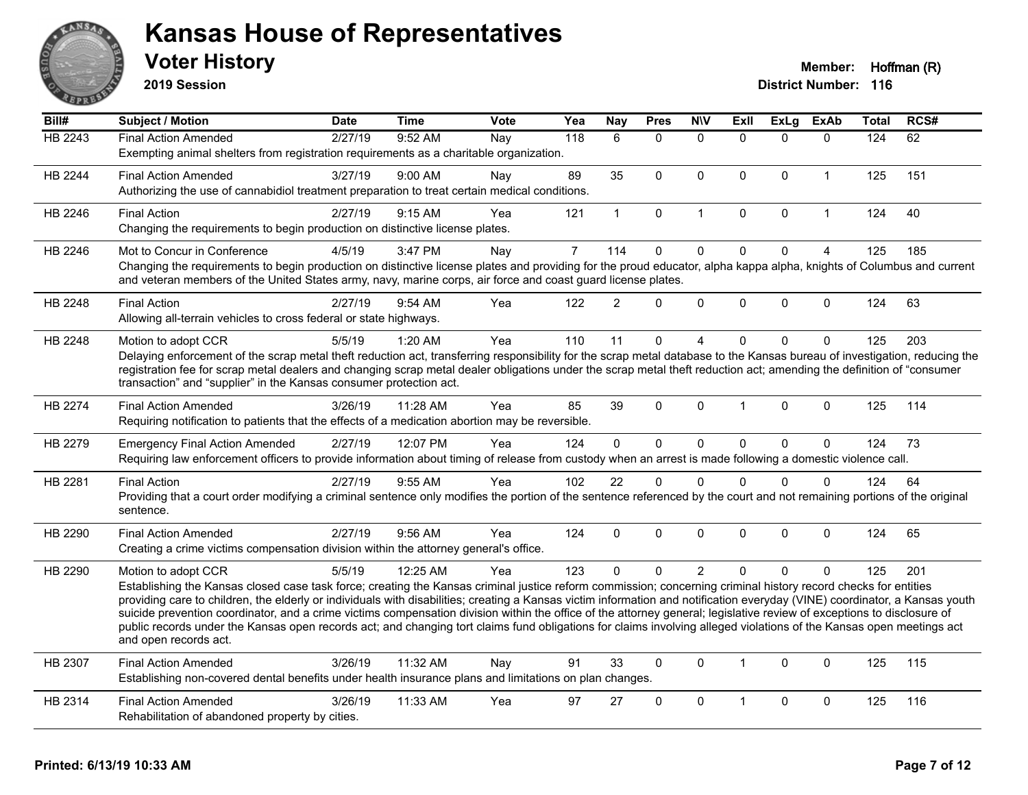

**2019 Session**

| Bill#          | <b>Subject / Motion</b>                                                                                                                                                                                                                                                                                                                       | <b>Date</b> | <b>Time</b> | <b>Vote</b> | Yea            | <b>Nay</b>     | <b>Pres</b>  | <b>NIV</b>     | ExII         | <b>ExLg</b>  | <b>ExAb</b>    | <b>Total</b> | RCS# |
|----------------|-----------------------------------------------------------------------------------------------------------------------------------------------------------------------------------------------------------------------------------------------------------------------------------------------------------------------------------------------|-------------|-------------|-------------|----------------|----------------|--------------|----------------|--------------|--------------|----------------|--------------|------|
| <b>HB 2243</b> | <b>Final Action Amended</b>                                                                                                                                                                                                                                                                                                                   | 2/27/19     | 9:52 AM     | Nay         | 118            | 6              | $\mathbf{0}$ | $\mathbf{0}$   | $\Omega$     | $\Omega$     | $\mathbf{0}$   | 124          | 62   |
|                | Exempting animal shelters from registration requirements as a charitable organization.                                                                                                                                                                                                                                                        |             |             |             |                |                |              |                |              |              |                |              |      |
| HB 2244        | <b>Final Action Amended</b>                                                                                                                                                                                                                                                                                                                   | 3/27/19     | $9:00$ AM   | Nay         | 89             | 35             | $\Omega$     | $\mathbf{0}$   | $\mathbf{0}$ | $\mathbf{0}$ | $\mathbf{1}$   | 125          | 151  |
|                | Authorizing the use of cannabidiol treatment preparation to treat certain medical conditions.                                                                                                                                                                                                                                                 |             |             |             |                |                |              |                |              |              |                |              |      |
| HB 2246        | <b>Final Action</b>                                                                                                                                                                                                                                                                                                                           | 2/27/19     | 9:15 AM     | Yea         | 121            | $\mathbf{1}$   | 0            | $\mathbf{1}$   | $\mathbf{0}$ | $\mathbf 0$  | $\mathbf{1}$   | 124          | 40   |
|                | Changing the requirements to begin production on distinctive license plates.                                                                                                                                                                                                                                                                  |             |             |             |                |                |              |                |              |              |                |              |      |
| HB 2246        | Mot to Concur in Conference                                                                                                                                                                                                                                                                                                                   | 4/5/19      | 3:47 PM     | Nay         | $\overline{7}$ | 114            | $\mathbf 0$  | $\mathbf 0$    | $\Omega$     | $\mathbf 0$  | $\overline{4}$ | 125          | 185  |
|                | Changing the requirements to begin production on distinctive license plates and providing for the proud educator, alpha kappa alpha, knights of Columbus and current                                                                                                                                                                          |             |             |             |                |                |              |                |              |              |                |              |      |
|                | and veteran members of the United States army, navy, marine corps, air force and coast guard license plates.                                                                                                                                                                                                                                  |             |             |             |                |                |              |                |              |              |                |              |      |
| HB 2248        | <b>Final Action</b>                                                                                                                                                                                                                                                                                                                           | 2/27/19     | 9:54 AM     | Yea         | 122            | $\overline{2}$ | $\Omega$     | 0              | $\Omega$     | $\mathbf{0}$ | $\mathbf{0}$   | 124          | 63   |
|                | Allowing all-terrain vehicles to cross federal or state highways.                                                                                                                                                                                                                                                                             |             |             |             |                |                |              |                |              |              |                |              |      |
| HB 2248        | Motion to adopt CCR                                                                                                                                                                                                                                                                                                                           | 5/5/19      | 1:20 AM     | Yea         | 110            | 11             | $\mathbf 0$  | 4              | $\Omega$     | $\mathbf 0$  | $\mathbf 0$    | 125          | 203  |
|                | Delaying enforcement of the scrap metal theft reduction act, transferring responsibility for the scrap metal database to the Kansas bureau of investigation, reducing the                                                                                                                                                                     |             |             |             |                |                |              |                |              |              |                |              |      |
|                | registration fee for scrap metal dealers and changing scrap metal dealer obligations under the scrap metal theft reduction act; amending the definition of "consumer                                                                                                                                                                          |             |             |             |                |                |              |                |              |              |                |              |      |
|                | transaction" and "supplier" in the Kansas consumer protection act.                                                                                                                                                                                                                                                                            |             |             |             |                |                |              |                |              |              |                |              |      |
| <b>HB 2274</b> | <b>Final Action Amended</b>                                                                                                                                                                                                                                                                                                                   | 3/26/19     | 11:28 AM    | Yea         | 85             | 39             | $\Omega$     | $\mathbf{0}$   | 1            | $\mathbf 0$  | $\mathbf{0}$   | 125          | 114  |
|                | Requiring notification to patients that the effects of a medication abortion may be reversible.                                                                                                                                                                                                                                               |             |             |             |                |                |              |                |              |              |                |              |      |
| HB 2279        | <b>Emergency Final Action Amended</b>                                                                                                                                                                                                                                                                                                         | 2/27/19     | 12:07 PM    | Yea         | 124            | $\mathbf 0$    | $\mathbf 0$  | $\pmb{0}$      | $\Omega$     | $\pmb{0}$    | $\mathbf 0$    | 124          | 73   |
|                | Requiring law enforcement officers to provide information about timing of release from custody when an arrest is made following a domestic violence call.                                                                                                                                                                                     |             |             |             |                |                |              |                |              |              |                |              |      |
| HB 2281        | <b>Final Action</b>                                                                                                                                                                                                                                                                                                                           | 2/27/19     | 9:55 AM     | Yea         | 102            | 22             | $\mathbf{0}$ | $\mathbf{0}$   | $\Omega$     | $\mathbf{0}$ | $\mathbf{0}$   | 124          | 64   |
|                | Providing that a court order modifying a criminal sentence only modifies the portion of the sentence referenced by the court and not remaining portions of the original                                                                                                                                                                       |             |             |             |                |                |              |                |              |              |                |              |      |
|                | sentence.                                                                                                                                                                                                                                                                                                                                     |             |             |             |                |                |              |                |              |              |                |              |      |
| HB 2290        | <b>Final Action Amended</b>                                                                                                                                                                                                                                                                                                                   | 2/27/19     | 9:56 AM     | Yea         | 124            | $\mathbf{0}$   | $\mathbf{0}$ | $\mathbf{0}$   | $\Omega$     | $\mathbf{0}$ | $\mathbf{0}$   | 124          | 65   |
|                | Creating a crime victims compensation division within the attorney general's office.                                                                                                                                                                                                                                                          |             |             |             |                |                |              |                |              |              |                |              |      |
| HB 2290        | Motion to adopt CCR                                                                                                                                                                                                                                                                                                                           | 5/5/19      | 12:25 AM    | Yea         | 123            | $\Omega$       | $\Omega$     | $\overline{2}$ | $\Omega$     | $\Omega$     | $\Omega$       | 125          | 201  |
|                | Establishing the Kansas closed case task force; creating the Kansas criminal justice reform commission; concerning criminal history record checks for entities                                                                                                                                                                                |             |             |             |                |                |              |                |              |              |                |              |      |
|                | providing care to children, the elderly or individuals with disabilities; creating a Kansas victim information and notification everyday (VINE) coordinator, a Kansas youth                                                                                                                                                                   |             |             |             |                |                |              |                |              |              |                |              |      |
|                | suicide prevention coordinator, and a crime victims compensation division within the office of the attorney general; legislative review of exceptions to disclosure of<br>public records under the Kansas open records act; and changing tort claims fund obligations for claims involving alleged violations of the Kansas open meetings act |             |             |             |                |                |              |                |              |              |                |              |      |
|                | and open records act.                                                                                                                                                                                                                                                                                                                         |             |             |             |                |                |              |                |              |              |                |              |      |
| HB 2307        | <b>Final Action Amended</b>                                                                                                                                                                                                                                                                                                                   | 3/26/19     | 11:32 AM    | Nay         | 91             | 33             | $\mathbf{0}$ | $\mathbf{0}$   | $\mathbf 1$  | $\mathbf{0}$ | $\mathbf{0}$   | 125          | 115  |
|                | Establishing non-covered dental benefits under health insurance plans and limitations on plan changes.                                                                                                                                                                                                                                        |             |             |             |                |                |              |                |              |              |                |              |      |
| HB 2314        | <b>Final Action Amended</b>                                                                                                                                                                                                                                                                                                                   | 3/26/19     | 11:33 AM    | Yea         | 97             | 27             | $\mathbf 0$  | 0              |              | $\mathbf 0$  | $\mathbf 0$    | 125          | 116  |
|                | Rehabilitation of abandoned property by cities.                                                                                                                                                                                                                                                                                               |             |             |             |                |                |              |                |              |              |                |              |      |
|                |                                                                                                                                                                                                                                                                                                                                               |             |             |             |                |                |              |                |              |              |                |              |      |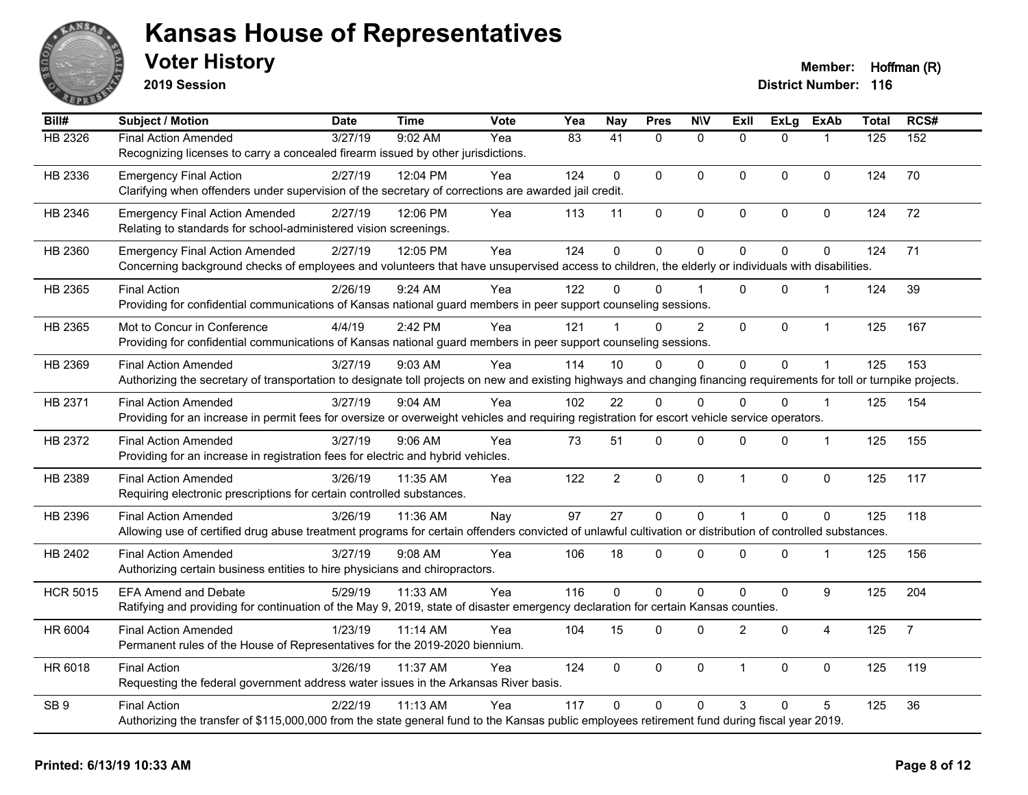

**2019 Session**

| Bill#           | Subject / Motion                                                                                                                                                       | <b>Date</b> | <b>Time</b> | <b>Vote</b> | Yea | <b>Nay</b>      | <b>Pres</b> | <b>N\V</b>     | Exll           | <b>ExLg</b> | <b>ExAb</b>      | <b>Total</b> | RCS#           |
|-----------------|------------------------------------------------------------------------------------------------------------------------------------------------------------------------|-------------|-------------|-------------|-----|-----------------|-------------|----------------|----------------|-------------|------------------|--------------|----------------|
| HB 2326         | <b>Final Action Amended</b>                                                                                                                                            | 3/27/19     | 9:02 AM     | Yea         | 83  | $\overline{41}$ | $\Omega$    | $\mathbf{0}$   | $\Omega$       | $\Omega$    |                  | 125          | 152            |
|                 | Recognizing licenses to carry a concealed firearm issued by other jurisdictions.                                                                                       |             |             |             |     |                 |             |                |                |             |                  |              |                |
| HB 2336         | <b>Emergency Final Action</b>                                                                                                                                          | 2/27/19     | 12:04 PM    | Yea         | 124 | $\mathbf{0}$    | $\mathbf 0$ | $\mathbf 0$    | 0              | $\Omega$    | $\mathbf 0$      | 124          | 70             |
|                 | Clarifying when offenders under supervision of the secretary of corrections are awarded jail credit.                                                                   |             |             |             |     |                 |             |                |                |             |                  |              |                |
| HB 2346         | <b>Emergency Final Action Amended</b>                                                                                                                                  | 2/27/19     | 12:06 PM    | Yea         | 113 | 11              | 0           | 0              | $\mathbf 0$    | 0           | 0                | 124          | 72             |
|                 | Relating to standards for school-administered vision screenings.                                                                                                       |             |             |             |     |                 |             |                |                |             |                  |              |                |
| HB 2360         | <b>Emergency Final Action Amended</b>                                                                                                                                  | 2/27/19     | 12:05 PM    | Yea         | 124 | $\mathbf 0$     | $\mathbf 0$ | $\mathbf 0$    | $\Omega$       | 0           | $\mathbf 0$      | 124          | 71             |
|                 | Concerning background checks of employees and volunteers that have unsupervised access to children, the elderly or individuals with disabilities.                      |             |             |             |     |                 |             |                |                |             |                  |              |                |
| HB 2365         | <b>Final Action</b>                                                                                                                                                    | 2/26/19     | 9:24 AM     | Yea         | 122 | <sup>0</sup>    | $\Omega$    |                | 0              | 0           |                  | 124          | 39             |
|                 | Providing for confidential communications of Kansas national guard members in peer support counseling sessions.                                                        |             |             |             |     |                 |             |                |                |             |                  |              |                |
| HB 2365         | Mot to Concur in Conference                                                                                                                                            | 4/4/19      | 2:42 PM     | Yea         | 121 |                 | $\Omega$    | $\overline{2}$ | $\overline{0}$ | 0           | $\mathbf{1}$     | 125          | 167            |
|                 | Providing for confidential communications of Kansas national guard members in peer support counseling sessions.                                                        |             |             |             |     |                 |             |                |                |             |                  |              |                |
| HB 2369         | <b>Final Action Amended</b>                                                                                                                                            | 3/27/19     | 9:03 AM     | Yea         | 114 | 10              | $\Omega$    | $\mathbf{0}$   | $\overline{0}$ | 0           | $\mathbf{1}$     | 125          | 153            |
|                 | Authorizing the secretary of transportation to designate toll projects on new and existing highways and changing financing requirements for toll or turnpike projects. |             |             |             |     |                 |             |                |                |             |                  |              |                |
| HB 2371         | <b>Final Action Amended</b>                                                                                                                                            | 3/27/19     | 9:04 AM     | Yea         | 102 | 22              | $\Omega$    | $\mathbf{0}$   | $\Omega$       | $\Omega$    | -1               | 125          | 154            |
|                 | Providing for an increase in permit fees for oversize or overweight vehicles and requiring registration for escort vehicle service operators.                          |             |             |             |     |                 |             |                |                |             |                  |              |                |
| HB 2372         | Final Action Amended                                                                                                                                                   | 3/27/19     | $9:06$ AM   | Yea         | 73  | 51              | 0           | $\mathbf 0$    | $\Omega$       | $\Omega$    | $\mathbf{1}$     | 125          | 155            |
|                 | Providing for an increase in registration fees for electric and hybrid vehicles.                                                                                       |             |             |             |     |                 |             |                |                |             |                  |              |                |
| HB 2389         | <b>Final Action Amended</b>                                                                                                                                            | 3/26/19     | 11:35 AM    | Yea         | 122 | $\overline{2}$  | $\mathbf 0$ | $\pmb{0}$      | $\mathbf{1}$   | $\mathbf 0$ | $\pmb{0}$        | 125          | 117            |
|                 | Requiring electronic prescriptions for certain controlled substances.                                                                                                  |             |             |             |     |                 |             |                |                |             |                  |              |                |
| HB 2396         | <b>Final Action Amended</b>                                                                                                                                            | 3/26/19     | 11:36 AM    | Nay         | 97  | 27              | $\mathbf 0$ | $\mathbf 0$    | 1              | $\Omega$    | $\mathbf 0$      | 125          | 118            |
|                 | Allowing use of certified drug abuse treatment programs for certain offenders convicted of unlawful cultivation or distribution of controlled substances.              |             |             |             |     |                 |             |                |                |             |                  |              |                |
| HB 2402         | <b>Final Action Amended</b>                                                                                                                                            | 3/27/19     | $9:08$ AM   | Yea         | 106 | 18              | $\Omega$    | $\mathbf{0}$   | $\Omega$       | $\Omega$    | $\mathbf{1}$     | 125          | 156            |
|                 | Authorizing certain business entities to hire physicians and chiropractors.                                                                                            |             |             |             |     |                 |             |                |                |             |                  |              |                |
| <b>HCR 5015</b> | <b>EFA Amend and Debate</b>                                                                                                                                            | 5/29/19     | 11:33 AM    | Yea         | 116 | $\Omega$        | $\mathbf 0$ | $\pmb{0}$      | 0              | 0           | $\boldsymbol{9}$ | 125          | 204            |
|                 | Ratifying and providing for continuation of the May 9, 2019, state of disaster emergency declaration for certain Kansas counties.                                      |             |             |             |     |                 |             |                |                |             |                  |              |                |
| HR 6004         | <b>Final Action Amended</b>                                                                                                                                            | 1/23/19     | 11:14 AM    | Yea         | 104 | 15              | $\Omega$    | $\mathbf 0$    | $\overline{2}$ | $\mathbf 0$ | $\overline{4}$   | 125          | $\overline{7}$ |
|                 | Permanent rules of the House of Representatives for the 2019-2020 biennium.                                                                                            |             |             |             |     |                 |             |                |                |             |                  |              |                |
| HR 6018         | <b>Final Action</b>                                                                                                                                                    | 3/26/19     | 11:37 AM    | Yea         | 124 | 0               | 0           | $\mathbf 0$    | 1              | 0           | $\mathbf 0$      | 125          | 119            |
|                 | Requesting the federal government address water issues in the Arkansas River basis.                                                                                    |             |             |             |     |                 |             |                |                |             |                  |              |                |
| SB <sub>9</sub> | <b>Final Action</b>                                                                                                                                                    | 2/22/19     | 11:13 AM    | Yea         | 117 | $\Omega$        | $\Omega$    | $\mathbf{0}$   | 3              | $\Omega$    | 5                | 125          | 36             |
|                 | Authorizing the transfer of \$115,000,000 from the state general fund to the Kansas public employees retirement fund during fiscal year 2019.                          |             |             |             |     |                 |             |                |                |             |                  |              |                |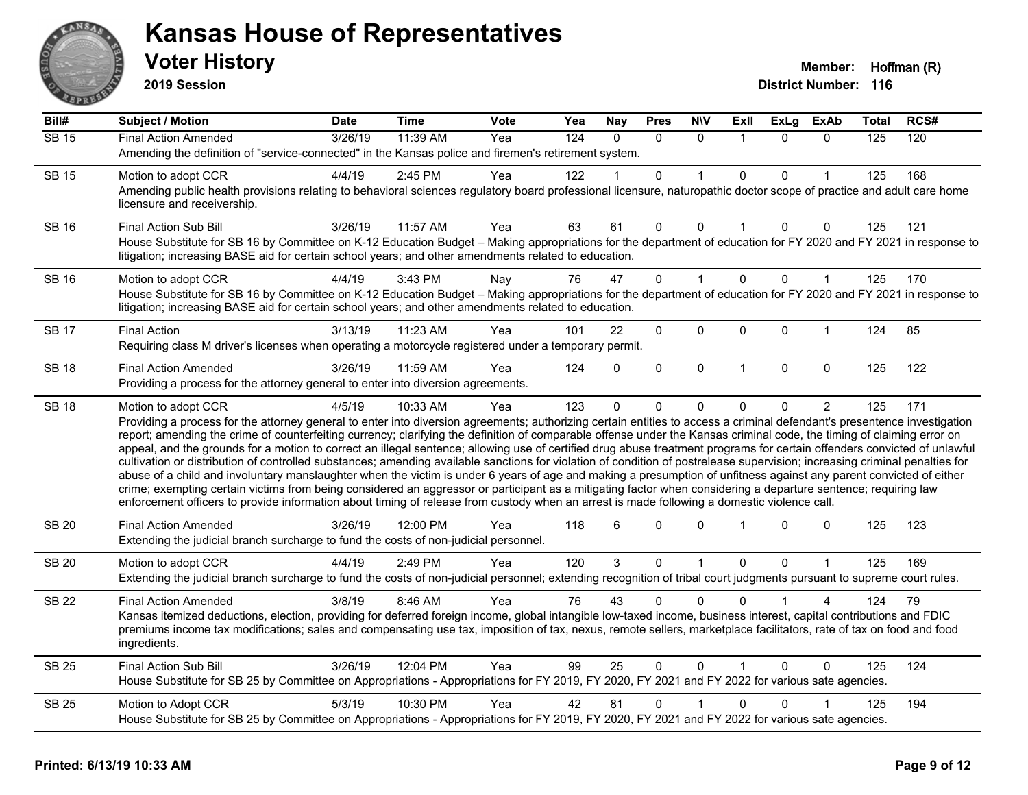

**2019 Session**

| Bill#              | <b>Subject / Motion</b>                                                                                                                                                                                                                                                                                                                                                                                                                                                                                                                                                                                                                                                                                                                                                                                                                                                                                                                                                                                                  | Date    | <b>Time</b> | Vote | Yea              | <b>Nay</b> | <b>Pres</b>  | <b>N\V</b>   | ExII                    | <b>ExLg</b> | <b>ExAb</b>    | Total | RCS# |
|--------------------|--------------------------------------------------------------------------------------------------------------------------------------------------------------------------------------------------------------------------------------------------------------------------------------------------------------------------------------------------------------------------------------------------------------------------------------------------------------------------------------------------------------------------------------------------------------------------------------------------------------------------------------------------------------------------------------------------------------------------------------------------------------------------------------------------------------------------------------------------------------------------------------------------------------------------------------------------------------------------------------------------------------------------|---------|-------------|------|------------------|------------|--------------|--------------|-------------------------|-------------|----------------|-------|------|
| $\overline{SB}$ 15 | <b>Final Action Amended</b>                                                                                                                                                                                                                                                                                                                                                                                                                                                                                                                                                                                                                                                                                                                                                                                                                                                                                                                                                                                              | 3/26/19 | 11:39 AM    | Yea  | $\overline{124}$ | $\Omega$   | $\Omega$     | $\Omega$     | $\overline{\mathbf{1}}$ | $\Omega$    | $\Omega$       | 125   | 120  |
|                    | Amending the definition of "service-connected" in the Kansas police and firemen's retirement system.                                                                                                                                                                                                                                                                                                                                                                                                                                                                                                                                                                                                                                                                                                                                                                                                                                                                                                                     |         |             |      |                  |            |              |              |                         |             |                |       |      |
| <b>SB 15</b>       | Motion to adopt CCR                                                                                                                                                                                                                                                                                                                                                                                                                                                                                                                                                                                                                                                                                                                                                                                                                                                                                                                                                                                                      | 4/4/19  | 2:45 PM     | Yea  | 122              |            | $\mathbf{0}$ | 1            | $\Omega$                | 0           |                | 125   | 168  |
|                    | Amending public health provisions relating to behavioral sciences regulatory board professional licensure, naturopathic doctor scope of practice and adult care home<br>licensure and receivership.                                                                                                                                                                                                                                                                                                                                                                                                                                                                                                                                                                                                                                                                                                                                                                                                                      |         |             |      |                  |            |              |              |                         |             |                |       |      |
| <b>SB 16</b>       | <b>Final Action Sub Bill</b>                                                                                                                                                                                                                                                                                                                                                                                                                                                                                                                                                                                                                                                                                                                                                                                                                                                                                                                                                                                             | 3/26/19 | 11:57 AM    | Yea  | 63               | 61         | 0            | $\mathbf 0$  | $\mathbf 1$             | 0           | 0              | 125   | 121  |
|                    | House Substitute for SB 16 by Committee on K-12 Education Budget - Making appropriations for the department of education for FY 2020 and FY 2021 in response to<br>litigation; increasing BASE aid for certain school years; and other amendments related to education.                                                                                                                                                                                                                                                                                                                                                                                                                                                                                                                                                                                                                                                                                                                                                  |         |             |      |                  |            |              |              |                         |             |                |       |      |
| <b>SB 16</b>       | Motion to adopt CCR                                                                                                                                                                                                                                                                                                                                                                                                                                                                                                                                                                                                                                                                                                                                                                                                                                                                                                                                                                                                      | 4/4/19  | 3:43 PM     | Nay  | 76               | 47         | 0            | $\mathbf{1}$ | $\Omega$                | $\Omega$    | $\mathbf{1}$   | 125   | 170  |
|                    | House Substitute for SB 16 by Committee on K-12 Education Budget - Making appropriations for the department of education for FY 2020 and FY 2021 in response to<br>litigation; increasing BASE aid for certain school years; and other amendments related to education.                                                                                                                                                                                                                                                                                                                                                                                                                                                                                                                                                                                                                                                                                                                                                  |         |             |      |                  |            |              |              |                         |             |                |       |      |
| <b>SB 17</b>       | <b>Final Action</b>                                                                                                                                                                                                                                                                                                                                                                                                                                                                                                                                                                                                                                                                                                                                                                                                                                                                                                                                                                                                      | 3/13/19 | 11:23 AM    | Yea  | 101              | 22         | 0            | 0            | $\mathbf 0$             | 0           | -1             | 124   | 85   |
|                    | Requiring class M driver's licenses when operating a motorcycle registered under a temporary permit.                                                                                                                                                                                                                                                                                                                                                                                                                                                                                                                                                                                                                                                                                                                                                                                                                                                                                                                     |         |             |      |                  |            |              |              |                         |             |                |       |      |
| <b>SB 18</b>       | <b>Final Action Amended</b>                                                                                                                                                                                                                                                                                                                                                                                                                                                                                                                                                                                                                                                                                                                                                                                                                                                                                                                                                                                              | 3/26/19 | 11:59 AM    | Yea  | 124              | $\Omega$   | $\mathbf{0}$ | $\mathbf 0$  | $\overline{1}$          | 0           | $\mathbf 0$    | 125   | 122  |
|                    | Providing a process for the attorney general to enter into diversion agreements.                                                                                                                                                                                                                                                                                                                                                                                                                                                                                                                                                                                                                                                                                                                                                                                                                                                                                                                                         |         |             |      |                  |            |              |              |                         |             |                |       |      |
| <b>SB 18</b>       | Motion to adopt CCR<br>Providing a process for the attorney general to enter into diversion agreements; authorizing certain entities to access a criminal defendant's presentence investigation                                                                                                                                                                                                                                                                                                                                                                                                                                                                                                                                                                                                                                                                                                                                                                                                                          | 4/5/19  | 10:33 AM    | Yea  | 123              | $\Omega$   | 0            | 0            | $\Omega$                | 0           | $\overline{2}$ | 125   | 171  |
|                    | report; amending the crime of counterfeiting currency; clarifying the definition of comparable offense under the Kansas criminal code, the timing of claiming error on<br>appeal, and the grounds for a motion to correct an illegal sentence; allowing use of certified drug abuse treatment programs for certain offenders convicted of unlawful<br>cultivation or distribution of controlled substances; amending available sanctions for violation of condition of postrelease supervision; increasing criminal penalties for<br>abuse of a child and involuntary manslaughter when the victim is under 6 years of age and making a presumption of unfitness against any parent convicted of either<br>crime; exempting certain victims from being considered an aggressor or participant as a mitigating factor when considering a departure sentence; requiring law<br>enforcement officers to provide information about timing of release from custody when an arrest is made following a domestic violence call. |         |             |      |                  |            |              |              |                         |             |                |       |      |
| <b>SB 20</b>       | <b>Final Action Amended</b><br>Extending the judicial branch surcharge to fund the costs of non-judicial personnel.                                                                                                                                                                                                                                                                                                                                                                                                                                                                                                                                                                                                                                                                                                                                                                                                                                                                                                      | 3/26/19 | 12:00 PM    | Yea  | 118              | 6          | $\Omega$     | $\Omega$     |                         | 0           | 0              | 125   | 123  |
| <b>SB 20</b>       | Motion to adopt CCR                                                                                                                                                                                                                                                                                                                                                                                                                                                                                                                                                                                                                                                                                                                                                                                                                                                                                                                                                                                                      | 4/4/19  | 2:49 PM     | Yea  | 120              | 3          | $\mathbf 0$  | $\mathbf{1}$ | $\mathbf 0$             | 0           | $\mathbf{1}$   | 125   | 169  |
|                    | Extending the judicial branch surcharge to fund the costs of non-judicial personnel; extending recognition of tribal court judgments pursuant to supreme court rules.                                                                                                                                                                                                                                                                                                                                                                                                                                                                                                                                                                                                                                                                                                                                                                                                                                                    |         |             |      |                  |            |              |              |                         |             |                |       |      |
| <b>SB 22</b>       | <b>Final Action Amended</b>                                                                                                                                                                                                                                                                                                                                                                                                                                                                                                                                                                                                                                                                                                                                                                                                                                                                                                                                                                                              | 3/8/19  | 8:46 AM     | Yea  | 76               | 43         | 0            | $\Omega$     |                         |             |                | 124   | 79   |
|                    | Kansas itemized deductions, election, providing for deferred foreign income, global intangible low-taxed income, business interest, capital contributions and FDIC<br>premiums income tax modifications; sales and compensating use tax, imposition of tax, nexus, remote sellers, marketplace facilitators, rate of tax on food and food<br>ingredients.                                                                                                                                                                                                                                                                                                                                                                                                                                                                                                                                                                                                                                                                |         |             |      |                  |            |              |              |                         |             |                |       |      |
| <b>SB 25</b>       | <b>Final Action Sub Bill</b>                                                                                                                                                                                                                                                                                                                                                                                                                                                                                                                                                                                                                                                                                                                                                                                                                                                                                                                                                                                             | 3/26/19 | 12:04 PM    | Yea  | 99               | 25         | $\mathbf{0}$ | $\mathbf{0}$ |                         | $\Omega$    | $\Omega$       | 125   | 124  |
|                    | House Substitute for SB 25 by Committee on Appropriations - Appropriations for FY 2019, FY 2020, FY 2021 and FY 2022 for various sate agencies.                                                                                                                                                                                                                                                                                                                                                                                                                                                                                                                                                                                                                                                                                                                                                                                                                                                                          |         |             |      |                  |            |              |              |                         |             |                |       |      |
| <b>SB 25</b>       | Motion to Adopt CCR                                                                                                                                                                                                                                                                                                                                                                                                                                                                                                                                                                                                                                                                                                                                                                                                                                                                                                                                                                                                      | 5/3/19  | 10:30 PM    | Yea  | 42               | 81         | $\mathbf{0}$ |              | $\Omega$                | 0           |                | 125   | 194  |
|                    | House Substitute for SB 25 by Committee on Appropriations - Appropriations for FY 2019, FY 2020, FY 2021 and FY 2022 for various sate agencies.                                                                                                                                                                                                                                                                                                                                                                                                                                                                                                                                                                                                                                                                                                                                                                                                                                                                          |         |             |      |                  |            |              |              |                         |             |                |       |      |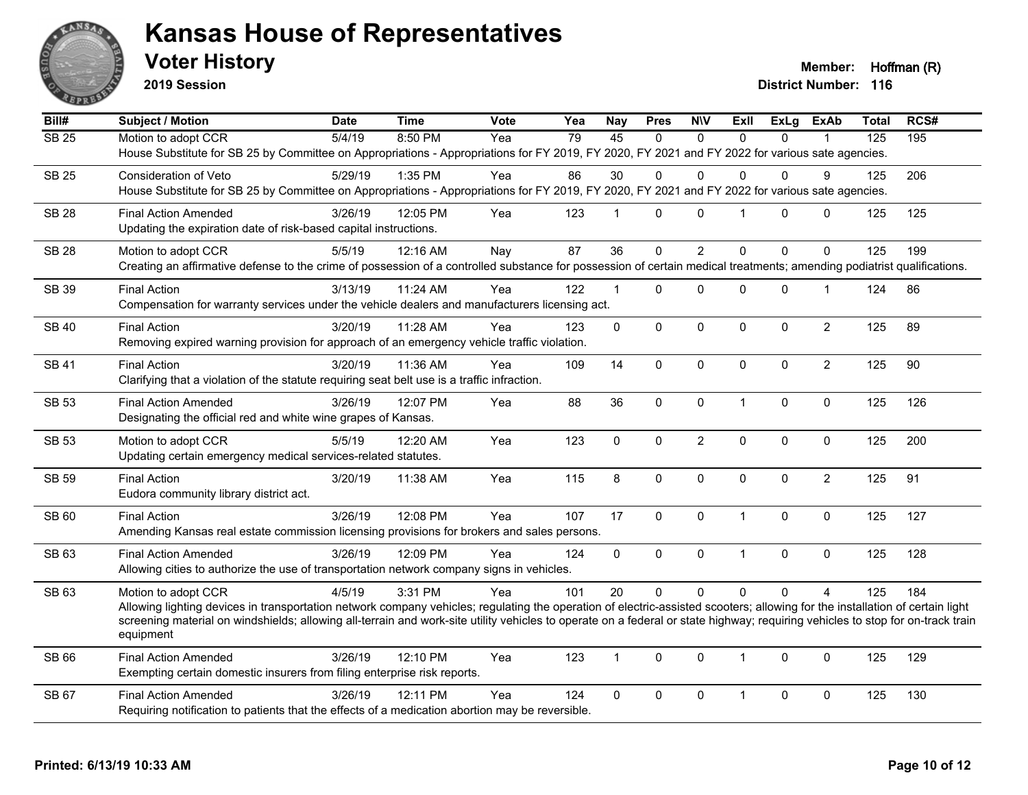

**2019 Session**

**Voter History Member: Hoffman (R)** 

| Bill#             | <b>Subject / Motion</b>                                                                                                                                                                       | <b>Date</b> | <b>Time</b> | Vote | Yea | <b>Nay</b>     | <b>Pres</b> | <b>NIV</b>     | <b>ExII</b>    | <b>ExLg</b>  | <b>ExAb</b>    | <b>Total</b>     | RCS# |
|-------------------|-----------------------------------------------------------------------------------------------------------------------------------------------------------------------------------------------|-------------|-------------|------|-----|----------------|-------------|----------------|----------------|--------------|----------------|------------------|------|
| $\overline{SB25}$ | Motion to adopt CCR                                                                                                                                                                           | 5/4/19      | 8:50 PM     | Yea  | 79  | 45             | $\Omega$    | $\Omega$       | $\Omega$       | $\Omega$     |                | $\overline{125}$ | 195  |
|                   | House Substitute for SB 25 by Committee on Appropriations - Appropriations for FY 2019, FY 2020, FY 2021 and FY 2022 for various sate agencies.                                               |             |             |      |     |                |             |                |                |              |                |                  |      |
| <b>SB 25</b>      | Consideration of Veto                                                                                                                                                                         | 5/29/19     | 1:35 PM     | Yea  | 86  | 30             | 0           | $\Omega$       | $\Omega$       | $\Omega$     | 9              | 125              | 206  |
|                   | House Substitute for SB 25 by Committee on Appropriations - Appropriations for FY 2019, FY 2020, FY 2021 and FY 2022 for various sate agencies.                                               |             |             |      |     |                |             |                |                |              |                |                  |      |
| <b>SB 28</b>      | <b>Final Action Amended</b>                                                                                                                                                                   | 3/26/19     | 12:05 PM    | Yea  | 123 | $\mathbf 1$    | 0           | $\Omega$       | $\overline{1}$ | $\mathbf{0}$ | 0              | 125              | 125  |
|                   | Updating the expiration date of risk-based capital instructions.                                                                                                                              |             |             |      |     |                |             |                |                |              |                |                  |      |
|                   |                                                                                                                                                                                               |             |             |      | 87  | 36             | $\Omega$    | $\overline{2}$ | $\Omega$       | $\Omega$     | $\Omega$       | 125              | 199  |
| <b>SB 28</b>      | Motion to adopt CCR<br>Creating an affirmative defense to the crime of possession of a controlled substance for possession of certain medical treatments; amending podiatrist qualifications. | 5/5/19      | 12:16 AM    | Nay  |     |                |             |                |                |              |                |                  |      |
|                   |                                                                                                                                                                                               |             |             |      |     |                |             |                |                |              |                |                  |      |
| SB 39             | <b>Final Action</b>                                                                                                                                                                           | 3/13/19     | 11:24 AM    | Yea  | 122 | $\mathbf{1}$   | 0           | $\mathbf 0$    | $\mathbf 0$    | 0            | $\mathbf 1$    | 124              | 86   |
|                   | Compensation for warranty services under the vehicle dealers and manufacturers licensing act.                                                                                                 |             |             |      |     |                |             |                |                |              |                |                  |      |
| <b>SB 40</b>      | <b>Final Action</b>                                                                                                                                                                           | 3/20/19     | 11:28 AM    | Yea  | 123 | $\mathbf 0$    | 0           | $\mathbf 0$    | $\mathbf 0$    | 0            | $\overline{2}$ | 125              | 89   |
|                   | Removing expired warning provision for approach of an emergency vehicle traffic violation.                                                                                                    |             |             |      |     |                |             |                |                |              |                |                  |      |
| <b>SB 41</b>      | <b>Final Action</b>                                                                                                                                                                           | 3/20/19     | 11:36 AM    | Yea  | 109 | 14             | 0           | $\mathbf 0$    | $\mathbf{0}$   | 0            | $\overline{2}$ | 125              | 90   |
|                   | Clarifying that a violation of the statute requiring seat belt use is a traffic infraction.                                                                                                   |             |             |      |     |                |             |                |                |              |                |                  |      |
| <b>SB 53</b>      | <b>Final Action Amended</b>                                                                                                                                                                   | 3/26/19     | 12:07 PM    | Yea  | 88  | 36             | 0           | $\mathbf 0$    | $\mathbf{1}$   | $\Omega$     | $\mathbf 0$    | 125              | 126  |
|                   | Designating the official red and white wine grapes of Kansas.                                                                                                                                 |             |             |      |     |                |             |                |                |              |                |                  |      |
|                   |                                                                                                                                                                                               |             |             |      |     |                |             |                |                |              |                |                  |      |
| <b>SB 53</b>      | Motion to adopt CCR<br>Updating certain emergency medical services-related statutes.                                                                                                          | 5/5/19      | 12:20 AM    | Yea  | 123 | $\mathbf 0$    | 0           | $\overline{c}$ | $\pmb{0}$      | $\mathbf 0$  | $\mathbf 0$    | 125              | 200  |
|                   |                                                                                                                                                                                               |             |             |      |     |                |             |                |                |              |                |                  |      |
| SB 59             | <b>Final Action</b>                                                                                                                                                                           | 3/20/19     | 11:38 AM    | Yea  | 115 | 8              | $\Omega$    | $\mathbf{0}$   | $\Omega$       | $\Omega$     | $\overline{2}$ | 125              | 91   |
|                   | Eudora community library district act.                                                                                                                                                        |             |             |      |     |                |             |                |                |              |                |                  |      |
| SB 60             | <b>Final Action</b>                                                                                                                                                                           | 3/26/19     | 12:08 PM    | Yea  | 107 | 17             | 0           | $\mathbf 0$    | $\mathbf{1}$   | 0            | $\mathbf 0$    | 125              | 127  |
|                   | Amending Kansas real estate commission licensing provisions for brokers and sales persons.                                                                                                    |             |             |      |     |                |             |                |                |              |                |                  |      |
| SB 63             | <b>Final Action Amended</b>                                                                                                                                                                   | 3/26/19     | 12:09 PM    | Yea  | 124 | $\mathbf 0$    | 0           | $\mathbf 0$    | $\mathbf{1}$   | 0            | $\mathbf 0$    | 125              | 128  |
|                   | Allowing cities to authorize the use of transportation network company signs in vehicles.                                                                                                     |             |             |      |     |                |             |                |                |              |                |                  |      |
| SB 63             | Motion to adopt CCR                                                                                                                                                                           | 4/5/19      | 3:31 PM     | Yea  | 101 | 20             | $\Omega$    | $\Omega$       | $\Omega$       | $\Omega$     | $\overline{A}$ | 125              | 184  |
|                   | Allowing lighting devices in transportation network company vehicles; regulating the operation of electric-assisted scooters; allowing for the installation of certain light                  |             |             |      |     |                |             |                |                |              |                |                  |      |
|                   | screening material on windshields; allowing all-terrain and work-site utility vehicles to operate on a federal or state highway; requiring vehicles to stop for on-track train                |             |             |      |     |                |             |                |                |              |                |                  |      |
|                   | equipment                                                                                                                                                                                     |             |             |      |     |                |             |                |                |              |                |                  |      |
| SB 66             | <b>Final Action Amended</b>                                                                                                                                                                   | 3/26/19     | 12:10 PM    | Yea  | 123 | $\overline{1}$ | 0           | $\mathbf{0}$   | $\overline{1}$ | $\mathbf{0}$ | $\Omega$       | 125              | 129  |
|                   | Exempting certain domestic insurers from filing enterprise risk reports.                                                                                                                      |             |             |      |     |                |             |                |                |              |                |                  |      |
| SB 67             | <b>Final Action Amended</b>                                                                                                                                                                   | 3/26/19     | 12:11 PM    | Yea  | 124 | 0              | 0           | $\mathbf 0$    | $\mathbf{1}$   | 0            | $\mathbf 0$    | 125              | 130  |
|                   | Requiring notification to patients that the effects of a medication abortion may be reversible.                                                                                               |             |             |      |     |                |             |                |                |              |                |                  |      |
|                   |                                                                                                                                                                                               |             |             |      |     |                |             |                |                |              |                |                  |      |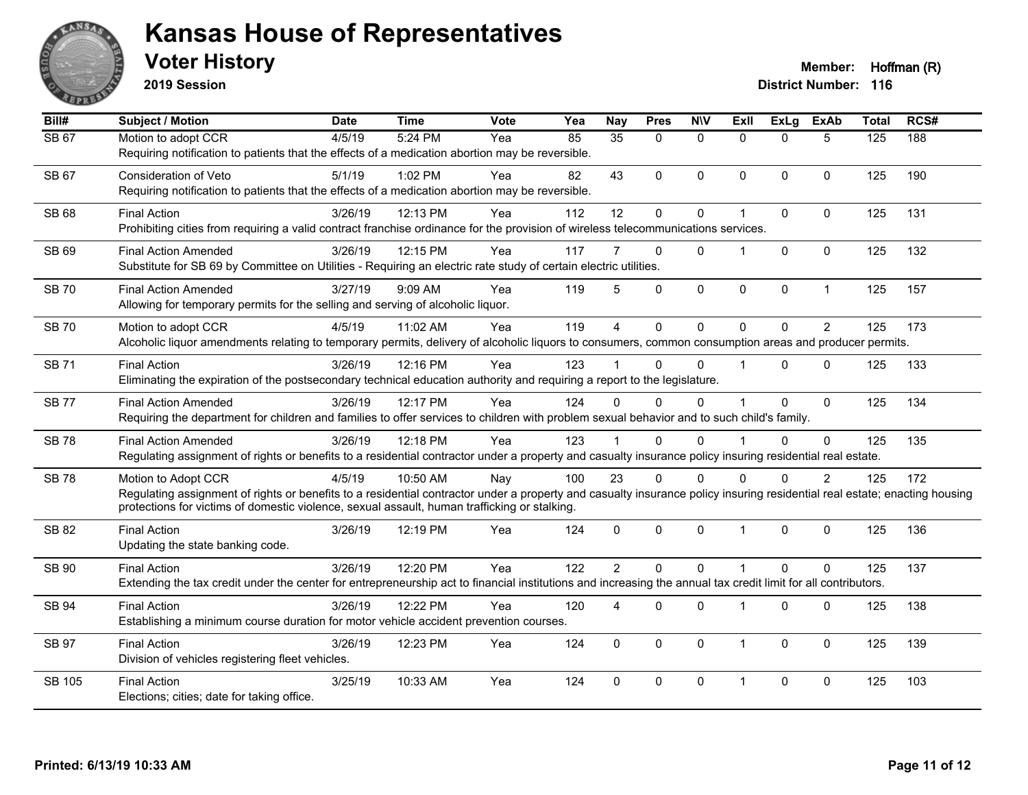

**2019 Session**

| $\overline{BiII#}$ | <b>Subject / Motion</b>                                                                                                                                                                                                                                                                          | <b>Date</b> | <b>Time</b> | Vote | Yea | Nay            | <b>Pres</b>  | <b>NIV</b>     | ExII           | $\overline{ExLg}$ | <b>ExAb</b>    | <b>Total</b>     | RCS# |
|--------------------|--------------------------------------------------------------------------------------------------------------------------------------------------------------------------------------------------------------------------------------------------------------------------------------------------|-------------|-------------|------|-----|----------------|--------------|----------------|----------------|-------------------|----------------|------------------|------|
| <b>SB 67</b>       | Motion to adopt CCR<br>Requiring notification to patients that the effects of a medication abortion may be reversible.                                                                                                                                                                           | 4/5/19      | 5:24 PM     | Yea  | 85  | 35             | $\Omega$     | $\mathbf{0}$   | $\Omega$       | $\Omega$          | 5              | $\overline{125}$ | 188  |
| SB 67              | Consideration of Veto<br>Requiring notification to patients that the effects of a medication abortion may be reversible.                                                                                                                                                                         | 5/1/19      | 1:02 PM     | Yea  | 82  | 43             | $\Omega$     | $\Omega$       | $\Omega$       | $\Omega$          | $\mathbf{0}$   | 125              | 190  |
| <b>SB 68</b>       | <b>Final Action</b><br>Prohibiting cities from requiring a valid contract franchise ordinance for the provision of wireless telecommunications services.                                                                                                                                         | 3/26/19     | 12:13 PM    | Yea  | 112 | 12             | 0            | 0              | $\overline{1}$ | $\Omega$          | $\mathbf{0}$   | 125              | 131  |
| SB 69              | <b>Final Action Amended</b><br>Substitute for SB 69 by Committee on Utilities - Requiring an electric rate study of certain electric utilities.                                                                                                                                                  | 3/26/19     | 12:15 PM    | Yea  | 117 | $\overline{7}$ | $\Omega$     | $\Omega$       | $\overline{1}$ | $\Omega$          | $\mathbf{0}$   | 125              | 132  |
| <b>SB 70</b>       | <b>Final Action Amended</b><br>Allowing for temporary permits for the selling and serving of alcoholic liquor.                                                                                                                                                                                   | 3/27/19     | 9:09 AM     | Yea  | 119 | 5              | 0            | $\pmb{0}$      | 0              | 0                 | $\mathbf{1}$   | 125              | 157  |
| <b>SB 70</b>       | Motion to adopt CCR<br>Alcoholic liquor amendments relating to temporary permits, delivery of alcoholic liquors to consumers, common consumption areas and producer permits.                                                                                                                     | 4/5/19      | 11:02 AM    | Yea  | 119 | $\overline{4}$ | $\mathbf 0$  | $\overline{0}$ | $\Omega$       | $\overline{0}$    | $\overline{2}$ | 125              | 173  |
| <b>SB71</b>        | <b>Final Action</b><br>Eliminating the expiration of the postsecondary technical education authority and requiring a report to the legislature.                                                                                                                                                  | 3/26/19     | 12:16 PM    | Yea  | 123 |                | $\mathbf{0}$ | $\Omega$       | $\overline{1}$ | 0                 | $\mathbf{0}$   | 125              | 133  |
| <b>SB 77</b>       | <b>Final Action Amended</b><br>Requiring the department for children and families to offer services to children with problem sexual behavior and to such child's family.                                                                                                                         | 3/26/19     | 12:17 PM    | Yea  | 124 | 0              | $\Omega$     | $\Omega$       |                | $\mathbf 0$       | $\mathbf{0}$   | 125              | 134  |
| <b>SB78</b>        | <b>Final Action Amended</b><br>Regulating assignment of rights or benefits to a residential contractor under a property and casualty insurance policy insuring residential real estate.                                                                                                          | 3/26/19     | 12:18 PM    | Yea  | 123 |                | $\Omega$     | $\Omega$       |                | $\Omega$          | $\mathbf 0$    | 125              | 135  |
| <b>SB78</b>        | Motion to Adopt CCR<br>Regulating assignment of rights or benefits to a residential contractor under a property and casualty insurance policy insuring residential real estate; enacting housing<br>protections for victims of domestic violence, sexual assault, human trafficking or stalking. | 4/5/19      | 10:50 AM    | Nay  | 100 | 23             | $\Omega$     | $\Omega$       | $\Omega$       | $\Omega$          | $\overline{2}$ | 125              | 172  |
| <b>SB 82</b>       | <b>Final Action</b><br>Updating the state banking code.                                                                                                                                                                                                                                          | 3/26/19     | 12:19 PM    | Yea  | 124 | $\mathbf{0}$   | $\mathbf{0}$ | 0              | $\overline{1}$ | $\mathbf 0$       | $\mathbf 0$    | 125              | 136  |
| <b>SB 90</b>       | <b>Final Action</b><br>Extending the tax credit under the center for entrepreneurship act to financial institutions and increasing the annual tax credit limit for all contributors.                                                                                                             | 3/26/19     | 12:20 PM    | Yea  | 122 | $\overline{2}$ | $\Omega$     | $\Omega$       | 1              | $\Omega$          | $\Omega$       | 125              | 137  |
| <b>SB 94</b>       | <b>Final Action</b><br>Establishing a minimum course duration for motor vehicle accident prevention courses.                                                                                                                                                                                     | 3/26/19     | 12:22 PM    | Yea  | 120 | 4              | $\mathbf 0$  | 0              | $\overline{1}$ | 0                 | 0              | 125              | 138  |
| <b>SB 97</b>       | <b>Final Action</b><br>Division of vehicles registering fleet vehicles.                                                                                                                                                                                                                          | 3/26/19     | 12:23 PM    | Yea  | 124 | $\mathbf 0$    | $\Omega$     | 0              | $\mathbf 1$    | $\mathbf 0$       | $\mathbf 0$    | 125              | 139  |
| SB 105             | <b>Final Action</b><br>Elections; cities; date for taking office.                                                                                                                                                                                                                                | 3/25/19     | 10:33 AM    | Yea  | 124 | $\mathbf{0}$   | $\Omega$     | 0              | $\overline{1}$ | $\Omega$          | $\mathbf{0}$   | 125              | 103  |